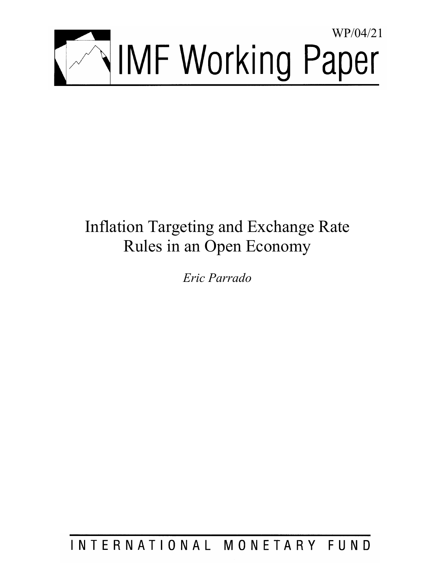

# Inflation Targeting and Exchange Rate Rules in an Open Economy

*Eric Parrado* 

INTERNATIONAL MONETARY FUND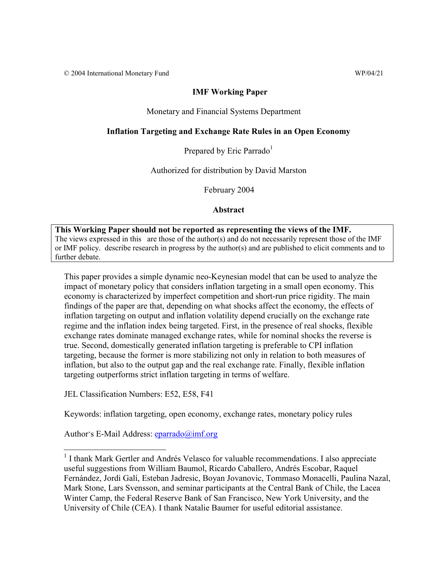# **IMF Working Paper**

# Monetary and Financial Systems Department

# **Inflation Targeting and Exchange Rate Rules in an Open Economy**

Prepared by Eric Parrado<sup>1</sup>

Authorized for distribution by David Marston

February 2004

# **Abstract**

**This Working Paper should not be reported as representing the views of the IMF.** The views expressed in this are those of the author(s) and do not necessarily represent those of the IMF or IMF policy. describe research in progress by the author(s) and are published to elicit comments and to further debate.

This paper provides a simple dynamic neo-Keynesian model that can be used to analyze the impact of monetary policy that considers inflation targeting in a small open economy. This economy is characterized by imperfect competition and short-run price rigidity. The main findings of the paper are that, depending on what shocks affect the economy, the effects of inflation targeting on output and inflation volatility depend crucially on the exchange rate regime and the inflation index being targeted. First, in the presence of real shocks, flexible exchange rates dominate managed exchange rates, while for nominal shocks the reverse is true. Second, domestically generated inflation targeting is preferable to CPI inflation targeting, because the former is more stabilizing not only in relation to both measures of inflation, but also to the output gap and the real exchange rate. Finally, flexible inflation targeting outperforms strict inflation targeting in terms of welfare.

JEL Classification Numbers: E52, E58, F41

Keywords: inflation targeting, open economy, exchange rates, monetary policy rules

Author's E-Mail Address: eparrado@imf.org

1

<sup>&</sup>lt;sup>1</sup> I thank Mark Gertler and Andrés Velasco for valuable recommendations. I also appreciate useful suggestions from William Baumol, Ricardo Caballero, Andrés Escobar, Raquel Fernández, Jordi Galí, Esteban Jadresic, Boyan Jovanovic, Tommaso Monacelli, Paulina Nazal, Mark Stone, Lars Svensson, and seminar participants at the Central Bank of Chile, the Lacea Winter Camp, the Federal Reserve Bank of San Francisco, New York University, and the University of Chile (CEA). I thank Natalie Baumer for useful editorial assistance.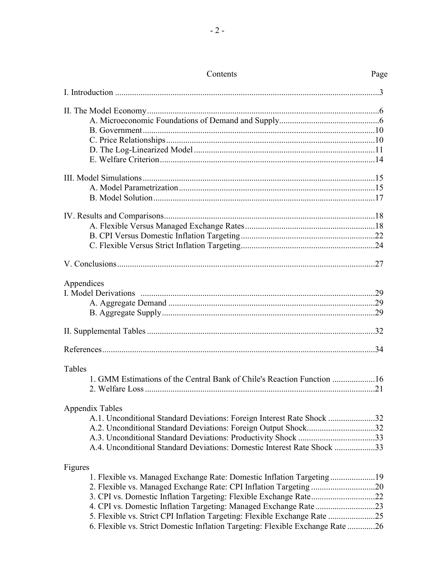| Appendices                                                                     |  |
|--------------------------------------------------------------------------------|--|
|                                                                                |  |
|                                                                                |  |
|                                                                                |  |
|                                                                                |  |
|                                                                                |  |
|                                                                                |  |
| Tables                                                                         |  |
| 1. GMM Estimations of the Central Bank of Chile's Reaction Function 16         |  |
|                                                                                |  |
| <b>Appendix Tables</b>                                                         |  |
| A.1. Unconditional Standard Deviations: Foreign Interest Rate Shock 32         |  |
| A.2. Unconditional Standard Deviations: Foreign Output Shock32                 |  |
|                                                                                |  |
| A.4. Unconditional Standard Deviations: Domestic Interest Rate Shock 33        |  |
|                                                                                |  |
| Figures                                                                        |  |
| 1. Flexible vs. Managed Exchange Rate: Domestic Inflation Targeting19          |  |
| 2. Flexible vs. Managed Exchange Rate: CPI Inflation Targeting 20              |  |
|                                                                                |  |
|                                                                                |  |
| 5. Flexible vs. Strict CPI Inflation Targeting: Flexible Exchange Rate 25      |  |
| 6. Flexible vs. Strict Domestic Inflation Targeting: Flexible Exchange Rate 26 |  |

#### Contents Page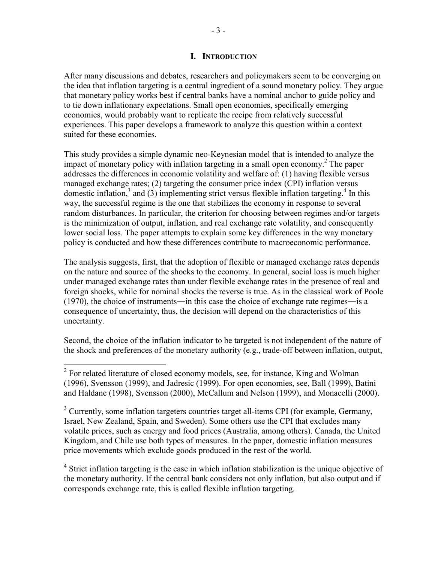# **I. INTRODUCTION**

After many discussions and debates, researchers and policymakers seem to be converging on the idea that inflation targeting is a central ingredient of a sound monetary policy. They argue that monetary policy works best if central banks have a nominal anchor to guide policy and to tie down inflationary expectations. Small open economies, specifically emerging economies, would probably want to replicate the recipe from relatively successful experiences. This paper develops a framework to analyze this question within a context suited for these economies.

This study provides a simple dynamic neo-Keynesian model that is intended to analyze the impact of monetary policy with inflation targeting in a small open economy.<sup>2</sup> The paper addresses the differences in economic volatility and welfare of: (1) having flexible versus managed exchange rates; (2) targeting the consumer price index (CPI) inflation versus domestic inflation,<sup>3</sup> and (3) implementing strict versus flexible inflation targeting.<sup>4</sup> In this way, the successful regime is the one that stabilizes the economy in response to several random disturbances. In particular, the criterion for choosing between regimes and/or targets is the minimization of output, inflation, and real exchange rate volatility, and consequently lower social loss. The paper attempts to explain some key differences in the way monetary policy is conducted and how these differences contribute to macroeconomic performance.

The analysis suggests, first, that the adoption of flexible or managed exchange rates depends on the nature and source of the shocks to the economy. In general, social loss is much higher under managed exchange rates than under flexible exchange rates in the presence of real and foreign shocks, while for nominal shocks the reverse is true. As in the classical work of Poole (1970), the choice of instruments―in this case the choice of exchange rate regimes―is a consequence of uncertainty, thus, the decision will depend on the characteristics of this uncertainty.

Second, the choice of the inflation indicator to be targeted is not independent of the nature of the shock and preferences of the monetary authority (e.g., trade-off between inflation, output,

<sup>4</sup> Strict inflation targeting is the case in which inflation stabilization is the unique objective of the monetary authority. If the central bank considers not only inflation, but also output and if corresponds exchange rate, this is called flexible inflation targeting.

<sup>&</sup>lt;sup>2</sup> For related literature of closed economy models, see, for instance, King and Wolman (1996), Svensson (1999), and Jadresic (1999). For open economies, see, Ball (1999), Batini and Haldane (1998), Svensson (2000), McCallum and Nelson (1999), and Monacelli (2000).

 $3$  Currently, some inflation targeters countries target all-items CPI (for example, Germany, Israel, New Zealand, Spain, and Sweden). Some others use the CPI that excludes many volatile prices, such as energy and food prices (Australia, among others). Canada, the United Kingdom, and Chile use both types of measures. In the paper, domestic inflation measures price movements which exclude goods produced in the rest of the world.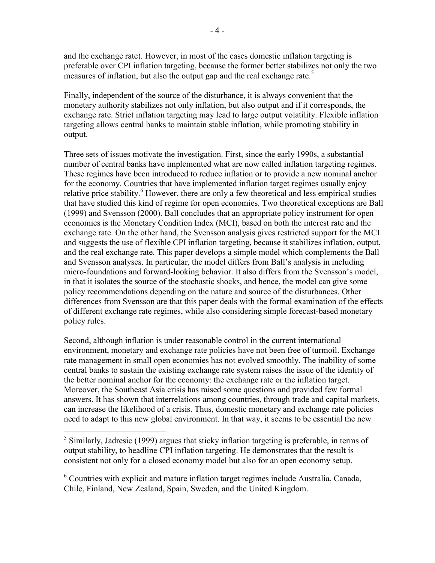and the exchange rate). However, in most of the cases domestic inflation targeting is preferable over CPI inflation targeting, because the former better stabilizes not only the two measures of inflation, but also the output gap and the real exchange rate.<sup>5</sup>

Finally, independent of the source of the disturbance, it is always convenient that the monetary authority stabilizes not only inflation, but also output and if it corresponds, the exchange rate. Strict inflation targeting may lead to large output volatility. Flexible inflation targeting allows central banks to maintain stable inflation, while promoting stability in output.

Three sets of issues motivate the investigation. First, since the early 1990s, a substantial number of central banks have implemented what are now called inflation targeting regimes. These regimes have been introduced to reduce inflation or to provide a new nominal anchor for the economy. Countries that have implemented inflation target regimes usually enjoy relative price stability.<sup>6</sup> However, there are only a few theoretical and less empirical studies that have studied this kind of regime for open economies. Two theoretical exceptions are Ball (1999) and Svensson (2000). Ball concludes that an appropriate policy instrument for open economies is the Monetary Condition Index (MCI), based on both the interest rate and the exchange rate. On the other hand, the Svensson analysis gives restricted support for the MCI and suggests the use of flexible CPI inflation targeting, because it stabilizes inflation, output, and the real exchange rate. This paper develops a simple model which complements the Ball and Svensson analyses. In particular, the model differs from Ball's analysis in including micro-foundations and forward-looking behavior. It also differs from the Svensson's model, in that it isolates the source of the stochastic shocks, and hence, the model can give some policy recommendations depending on the nature and source of the disturbances. Other differences from Svensson are that this paper deals with the formal examination of the effects of different exchange rate regimes, while also considering simple forecast-based monetary policy rules.

Second, although inflation is under reasonable control in the current international environment, monetary and exchange rate policies have not been free of turmoil. Exchange rate management in small open economies has not evolved smoothly. The inability of some central banks to sustain the existing exchange rate system raises the issue of the identity of the better nominal anchor for the economy: the exchange rate or the inflation target. Moreover, the Southeast Asia crisis has raised some questions and provided few formal answers. It has shown that interrelations among countries, through trade and capital markets, can increase the likelihood of a crisis. Thus, domestic monetary and exchange rate policies need to adapt to this new global environment. In that way, it seems to be essential the new

<sup>6</sup> Countries with explicit and mature inflation target regimes include Australia, Canada, Chile, Finland, New Zealand, Spain, Sweden, and the United Kingdom.

<sup>&</sup>lt;sup>5</sup> Similarly, Jadresic (1999) argues that sticky inflation targeting is preferable, in terms of output stability, to headline CPI inflation targeting. He demonstrates that the result is consistent not only for a closed economy model but also for an open economy setup.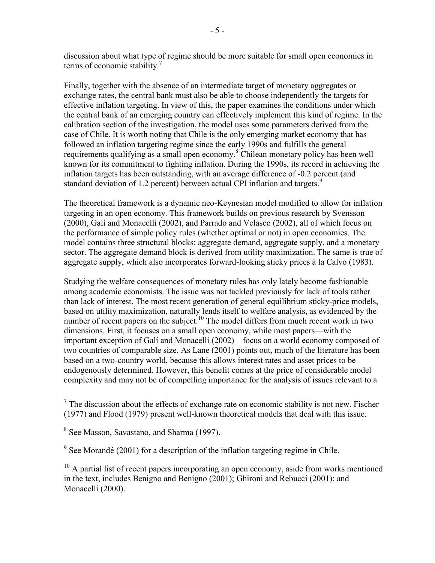discussion about what type of regime should be more suitable for small open economies in terms of economic stability.<sup>7</sup>

Finally, together with the absence of an intermediate target of monetary aggregates or exchange rates, the central bank must also be able to choose independently the targets for effective inflation targeting. In view of this, the paper examines the conditions under which the central bank of an emerging country can effectively implement this kind of regime. In the calibration section of the investigation, the model uses some parameters derived from the case of Chile. It is worth noting that Chile is the only emerging market economy that has followed an inflation targeting regime since the early 1990s and fulfills the general requirements qualifying as a small open economy.<sup>8</sup> Chilean monetary policy has been well known for its commitment to fighting inflation. During the 1990s, its record in achieving the inflation targets has been outstanding, with an average difference of -0.2 percent (and standard deviation of 1.2 percent) between actual CPI inflation and targets.<sup>9</sup>

The theoretical framework is a dynamic neo-Keynesian model modified to allow for inflation targeting in an open economy. This framework builds on previous research by Svensson (2000), Galí and Monacelli (2002), and Parrado and Velasco (2002), all of which focus on the performance of simple policy rules (whether optimal or not) in open economies. The model contains three structural blocks: aggregate demand, aggregate supply, and a monetary sector. The aggregate demand block is derived from utility maximization. The same is true of aggregate supply, which also incorporates forward-looking sticky prices à la Calvo (1983).

Studying the welfare consequences of monetary rules has only lately become fashionable among academic economists. The issue was not tackled previously for lack of tools rather than lack of interest. The most recent generation of general equilibrium sticky-price models, based on utility maximization, naturally lends itself to welfare analysis, as evidenced by the number of recent papers on the subject.<sup>10</sup> The model differs from much recent work in two dimensions. First, it focuses on a small open economy, while most papers—with the important exception of Galí and Monacelli (2002)—focus on a world economy composed of two countries of comparable size. As Lane (2001) points out, much of the literature has been based on a two-country world, because this allows interest rates and asset prices to be endogenously determined. However, this benefit comes at the price of considerable model complexity and may not be of compelling importance for the analysis of issues relevant to a

 $\overline{a}$ <sup>7</sup> The discussion about the effects of exchange rate on economic stability is not new. Fischer (1977) and Flood (1979) present well-known theoretical models that deal with this issue.

<sup>&</sup>lt;sup>8</sup> See Masson, Savastano, and Sharma (1997).

 $9^9$  See Morandé (2001) for a description of the inflation targeting regime in Chile.

 $10$  A partial list of recent papers incorporating an open economy, aside from works mentioned in the text, includes Benigno and Benigno (2001); Ghironi and Rebucci (2001); and Monacelli (2000).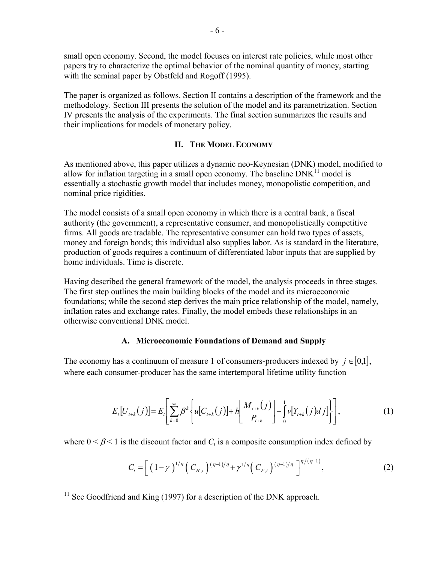small open economy. Second, the model focuses on interest rate policies, while most other papers try to characterize the optimal behavior of the nominal quantity of money, starting with the seminal paper by Obstfeld and Rogoff (1995).

The paper is organized as follows. Section II contains a description of the framework and the methodology. Section III presents the solution of the model and its parametrization. Section IV presents the analysis of the experiments. The final section summarizes the results and their implications for models of monetary policy.

# **II. THE MODEL ECONOMY**

As mentioned above, this paper utilizes a dynamic neo-Keynesian (DNK) model, modified to allow for inflation targeting in a small open economy. The baseline  $DNK<sup>11</sup>$  model is essentially a stochastic growth model that includes money, monopolistic competition, and nominal price rigidities.

The model consists of a small open economy in which there is a central bank, a fiscal authority (the government), a representative consumer, and monopolistically competitive firms. All goods are tradable. The representative consumer can hold two types of assets, money and foreign bonds; this individual also supplies labor. As is standard in the literature, production of goods requires a continuum of differentiated labor inputs that are supplied by home individuals. Time is discrete.

Having described the general framework of the model, the analysis proceeds in three stages. The first step outlines the main building blocks of the model and its microeconomic foundations; while the second step derives the main price relationship of the model, namely, inflation rates and exchange rates. Finally, the model embeds these relationships in an otherwise conventional DNK model.

# **A. Microeconomic Foundations of Demand and Supply**

The economy has a continuum of measure 1 of consumers-producers indexed by  $j \in [0,1]$ , where each consumer-producer has the same intertemporal lifetime utility function

$$
E_t[U_{t+k}(j)] = E_t\left[\sum_{k=0}^{\infty} \beta^k \left\{ u[C_{t+k}(j)] + h\left[\frac{M_{t+k}(j)}{P_{t+k}}\right] - \int_0^1 v[Y_{t+k}(j) \, dy] \right\} \right],\tag{1}
$$

where  $0 < \beta < 1$  is the discount factor and  $C_t$  is a composite consumption index defined by

$$
C_{t} = \left[ \left( 1 - \gamma \right)^{1/\eta} \left( C_{H,t} \right)^{(\eta - 1)/\eta} + \gamma^{1/\eta} \left( C_{F,t} \right)^{(\eta - 1)/\eta} \right]^{\eta/(\eta - 1)}, \tag{2}
$$

 $\overline{a}$ 

 $11$  See Goodfriend and King (1997) for a description of the DNK approach.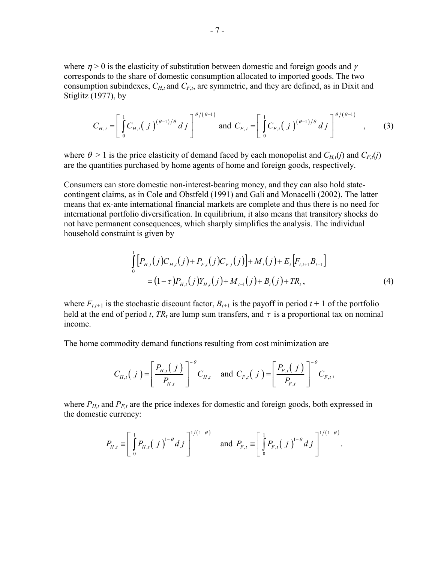where  $\eta > 0$  is the elasticity of substitution between domestic and foreign goods and  $\gamma$ corresponds to the share of domestic consumption allocated to imported goods. The two consumption subindexes,  $C_{H,t}$  and  $C_{F,t}$ , are symmetric, and they are defined, as in Dixit and Stiglitz (1977), by

$$
C_{H,t} = \left[ \int_0^1 C_{H,t} (j)^{(\theta-1)/\theta} \, dj \right]^{\theta/(\theta-1)} \text{ and } C_{F,t} = \left[ \int_0^1 C_{F,t} (j)^{(\theta-1)/\theta} \, dj \right]^{\theta/(\theta-1)} \quad , \tag{3}
$$

where  $\theta > 1$  is the price elasticity of demand faced by each monopolist and  $C_{H,t}(j)$  and  $C_{F,t}(j)$ are the quantities purchased by home agents of home and foreign goods, respectively.

Consumers can store domestic non-interest-bearing money, and they can also hold statecontingent claims, as in Cole and Obstfeld (1991) and Galí and Monacelli (2002). The latter means that ex-ante international financial markets are complete and thus there is no need for international portfolio diversification. In equilibrium, it also means that transitory shocks do not have permanent consequences, which sharply simplifies the analysis. The individual household constraint is given by

$$
\int_{0}^{1} \left[ P_{H,t}(j) C_{H,t}(j) + P_{F,t}(j) C_{F,t}(j) \right] + M_{t}(j) + E_{t} \left[ F_{t,t+1} B_{t+1} \right]
$$
\n
$$
= (1 - \tau) P_{H,t}(j) Y_{H,t}(j) + M_{t-1}(j) + B_{t}(j) + TR_{t}, \tag{4}
$$

where  $F_{t,t+1}$  is the stochastic discount factor,  $B_{t+1}$  is the payoff in period  $t+1$  of the portfolio held at the end of period *t*,  $TR_t$  are lump sum transfers, and  $\tau$  is a proportional tax on nominal income.

The home commodity demand functions resulting from cost minimization are

$$
C_{H,t}(j) = \left[ \frac{P_{H,t}(j)}{P_{H,t}} \right]^{-\theta} C_{H,t} \text{ and } C_{F,t}(j) = \left[ \frac{P_{F,t}(j)}{P_{F,t}} \right]^{-\theta} C_{F,t},
$$

where  $P_{H,t}$  and  $P_{F,t}$  are the price indexes for domestic and foreign goods, both expressed in the domestic currency:

$$
P_{H,t} \equiv \left[ \int_{0}^{1} P_{H,t}(j)^{1-\theta} dj \right]^{1/(1-\theta)} \text{ and } P_{F,t} \equiv \left[ \int_{0}^{1} P_{F,t}(j)^{1-\theta} dj \right]^{1/(1-\theta)}.
$$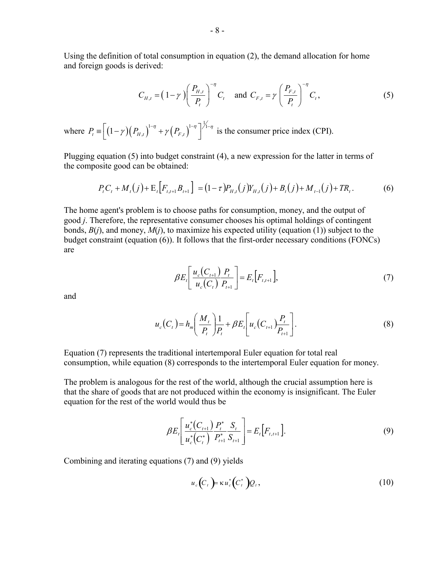Using the definition of total consumption in equation (2), the demand allocation for home and foreign goods is derived:

$$
C_{H,t} = \left(1 - \gamma \right) \left( \frac{P_{H,t}}{P_t} \right)^{-\eta} C_t \quad \text{and } C_{F,t} = \gamma \left( \frac{P_{F,t}}{P_t} \right)^{-\eta} C_t,
$$
 (5)

where  $P_{t} \equiv (1 - \gamma)(P_{H,t})^{1-\gamma} + \gamma(P_{F,t})$  $P_t \equiv \left[ (1 - \gamma) (P_{H,t})^{1-\eta} + \gamma (P_{F,t})^{1-\eta} \right]^{1/\eta}$  is the consumer price index (CPI).

Plugging equation (5) into budget constraint (4), a new expression for the latter in terms of the composite good can be obtained:

$$
P_{t}C_{t} + M_{t}(j) + \mathbb{E}_{t}[F_{t,t+1}B_{t+1}] = (1-\tau)P_{H,t}(j)Y_{H,t}(j) + B_{t}(j) + M_{t-1}(j) + TR_{t}.
$$
 (6)

The home agent's problem is to choose paths for consumption, money, and the output of good *j*. Therefore, the representative consumer chooses his optimal holdings of contingent bonds,  $B(i)$ , and money,  $M(i)$ , to maximize his expected utility (equation (1)) subject to the budget constraint (equation (6)). It follows that the first-order necessary conditions (FONCs) are

$$
\beta E_t \left[ \frac{u_c(C_{t+1}) P_t}{u_c(C_t) P_{t+1}} \right] = E_t \left[ F_{t,t+1} \right],\tag{7}
$$

and

$$
u_c(C_t) = h_m \left(\frac{M_t}{P_t}\right) \frac{1}{P_t} + \beta E_t \left[u_c(C_{t+1}) \frac{P_t}{P_{t+1}}\right].
$$
\n(8)

Equation (7) represents the traditional intertemporal Euler equation for total real consumption, while equation (8) corresponds to the intertemporal Euler equation for money.

The problem is analogous for the rest of the world, although the crucial assumption here is that the share of goods that are not produced within the economy is insignificant. The Euler equation for the rest of the world would thus be

$$
\beta E_t \left[ \frac{u_c^*(C_{t+1})}{u_c^*(C_t^*)} \frac{P_t^*}{P_{t+1}^*} \frac{S_t}{S_{t+1}} \right] = E_t \left[ F_{t,t+1} \right]. \tag{9}
$$

Combining and iterating equations (7) and (9) yields

$$
u_c(C_t) = \kappa u_c^*(C_t^*)Q_t,
$$
\n(10)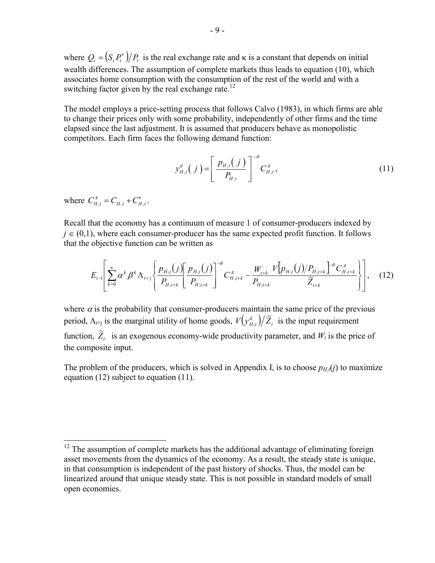where  $Q_t = (S_t P_t^*)/P_t$  is the real exchange rate and  $\kappa$  is a constant that depends on initial wealth differences. The assumption of complete markets thus leads to equation (10), which associates home consumption with the consumption of the rest of the world and with a switching factor given by the real exchange rate.<sup>12</sup>

The model employs a price-setting process that follows Calvo (1983), in which firms are able to change their prices only with some probability, independently of other firms and the time elapsed since the last adjustment. It is assumed that producers behave as monopolistic competitors. Each firm faces the following demand function:

$$
y_{H,t}^d(j) = \left[ \frac{p_{H,t}(j)}{P_{H,t}} \right]^{-\theta} C_{H,t}^A,
$$
\n(11)

where  $C_{H,t}^A = C_{H,t} + C_{H,t}^*$ .

1

Recall that the economy has a continuum of measure 1 of consumer-producers indexed by  $j \in (0,1)$ , where each consumer-producer has the same expected profit function. It follows that the objective function can be written as

$$
E_{t-1}\left[\sum_{k=0}^{\infty} \alpha^{k} \beta^{k} \Lambda_{t+j}\left\{\frac{p_{H,t}(j)}{P_{H,t+k}}\left[\frac{p_{H,t}(j)}{P_{H,t+k}}\right]^{-\theta} C_{H,t+k}^{A} - \frac{W_{t+k}}{P_{H,t+k}} \frac{V[p_{H,t}(j)/P_{H,t+k}}{\widetilde{Z}_{t+k}}\right]^{-\theta} C_{H,t+k}^{A}\right\}\right],
$$
 (12)

where  $\alpha$  is the probability that consumer-producers maintain the same price of the previous period,  $\Lambda_{t+j}$  is the marginal utility of home goods,  $V(y_{H,t}^d)/\tilde{Z}_t$  is the input requirement function,  $\widetilde{Z}_t$  is an exogenous economy-wide productivity parameter, and  $W_t$  is the price of the composite input.

The problem of the producers, which is solved in Appendix I, is to choose  $p_{H,t}(j)$  to maximize equation (12) subject to equation (11).

 $12$  The assumption of complete markets has the additional advantage of eliminating foreign asset movements from the dynamics of the economy. As a result, the steady state is unique, in that consumption is independent of the past history of shocks. Thus, the model can be linearized around that unique steady state. This is not possible in standard models of small open economies.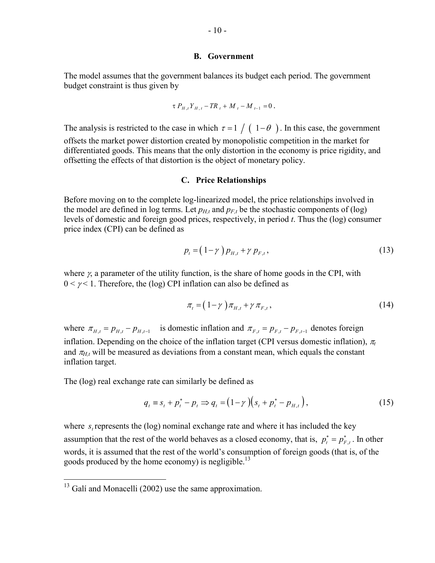#### **B. Government**

The model assumes that the government balances its budget each period. The government budget constraint is thus given by

$$
\tau P_{H,t} Y_{H,t} - T R_t + M_t - M_{t-1} = 0
$$
.

The analysis is restricted to the case in which  $\tau = 1 / (1 - \theta)$ . In this case, the government offsets the market power distortion created by monopolistic competition in the market for differentiated goods. This means that the only distortion in the economy is price rigidity, and offsetting the effects of that distortion is the object of monetary policy.

#### **C. Price Relationships**

Before moving on to the complete log-linearized model, the price relationships involved in the model are defined in log terms. Let  $p_{H,t}$  and  $p_{F,t}$  be the stochastic components of (log) levels of domestic and foreign good prices, respectively, in period *t*. Thus the (log) consumer price index (CPI) can be defined as

$$
p_t = (1 - \gamma) p_{H,t} + \gamma p_{F,t}, \qquad (13)
$$

where  $\gamma$ , a parameter of the utility function, is the share of home goods in the CPI, with  $0 \leq \gamma \leq 1$ . Therefore, the (log) CPI inflation can also be defined as

$$
\pi_t = \left(1 - \gamma\right)\pi_{H,t} + \gamma\,\pi_{F,t},\tag{14}
$$

where  $\pi_{H,t} = p_{H,t} - p_{H,t-1}$  is domestic inflation and  $\pi_{F,t} = p_{F,t} - p_{F,t-1}$  denotes foreign inflation. Depending on the choice of the inflation target (CPI versus domestic inflation), <sup>π</sup>*<sup>t</sup>* and  $\pi_{H,t}$  will be measured as deviations from a constant mean, which equals the constant inflation target.

The (log) real exchange rate can similarly be defined as

$$
q_{t} \equiv s_{t} + p_{t}^{*} - p_{t} \Rightarrow q_{t} = (1 - \gamma) (s_{t} + p_{t}^{*} - p_{H,t}), \qquad (15)
$$

where *s*, represents the (log) nominal exchange rate and where it has included the key assumption that the rest of the world behaves as a closed economy, that is,  $p_t^* = p_{F,t}^*$ . In other words, it is assumed that the rest of the world's consumption of foreign goods (that is, of the goods produced by the home economy) is negligible.<sup>13</sup>

1

 $13$  Galí and Monacelli (2002) use the same approximation.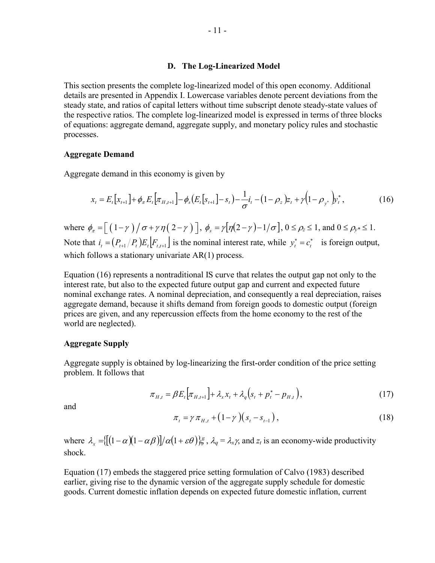#### **D. The Log-Linearized Model**

This section presents the complete log-linearized model of this open economy. Additional details are presented in Appendix I. Lowercase variables denote percent deviations from the steady state, and ratios of capital letters without time subscript denote steady-state values of the respective ratios. The complete log-linearized model is expressed in terms of three blocks of equations: aggregate demand, aggregate supply, and monetary policy rules and stochastic processes.

#### **Aggregate Demand**

Aggregate demand in this economy is given by

$$
x_{t} = E_{t}[x_{t+1}] + \phi_{\pi} E_{t}[\pi_{H,t+1}] - \phi_{s}(E_{t}[s_{t+1}] - s_{t}) - \frac{1}{\sigma}i_{t} - (1 - \rho_{z})z_{t} + \gamma(1 - \rho_{y^{*}})y_{t}^{*},
$$
\n(16)

where  $\phi_{\pi} = \left[ \left( 1 - \gamma \right) / \sigma + \gamma \eta \left( 2 - \gamma \right) \right]$ ,  $\phi_{\pi} = \gamma \left[ \eta(2 - \gamma) - 1/\sigma \right]$ ,  $0 \le \rho_{\pi} \le 1$ , and  $0 \le \rho_{\pi} \le 1$ . Note that  $i_t = (P_{t+1}/P_t)E_t|F_{t+1}|$  is the nominal interest rate, while  $y_t^* = c_t^*$  is foreign output, which follows a stationary univariate AR(1) process.

Equation (16) represents a nontraditional IS curve that relates the output gap not only to the interest rate, but also to the expected future output gap and current and expected future nominal exchange rates. A nominal depreciation, and consequently a real depreciation, raises aggregate demand, because it shifts demand from foreign goods to domestic output (foreign prices are given, and any repercussion effects from the home economy to the rest of the world are neglected).

#### **Aggregate Supply**

Aggregate supply is obtained by log-linearizing the first-order condition of the price setting problem. It follows that

$$
\pi_{H,t} = \beta E_t \Big[ \pi_{H,t+1} \Big] + \lambda_x x_t + \lambda_q \Big( s_t + p_t^* - p_{H,t} \Big), \tag{17}
$$

and

$$
\pi_t = \gamma \, \pi_{H,t} + (1 - \gamma) \big( s_t - s_{t-1} \big) \,, \tag{18}
$$

where  $\lambda_x = \{ [(1 - \alpha)(1 - \alpha \beta)] / \alpha (1 + \varepsilon \theta) \}$ ,  $\lambda_q = \lambda_x \gamma$ , and  $z_t$  is an economy-wide productivity shock.

Equation (17) embeds the staggered price setting formulation of Calvo (1983) described earlier, giving rise to the dynamic version of the aggregate supply schedule for domestic goods. Current domestic inflation depends on expected future domestic inflation, current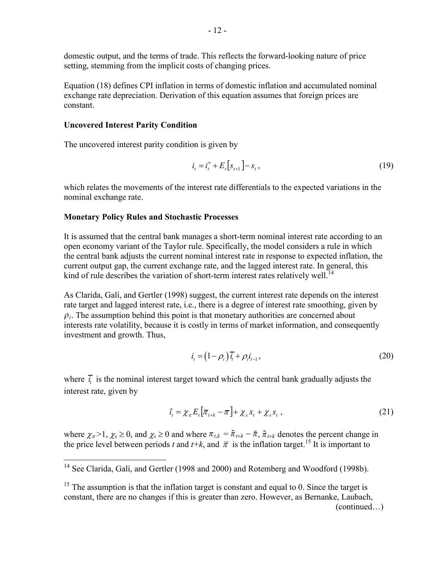domestic output, and the terms of trade. This reflects the forward-looking nature of price setting, stemming from the implicit costs of changing prices.

Equation (18) defines CPI inflation in terms of domestic inflation and accumulated nominal exchange rate depreciation. Derivation of this equation assumes that foreign prices are constant.

# **Uncovered Interest Parity Condition**

 $\overline{a}$ 

The uncovered interest parity condition is given by

$$
i_t = i_t^* + E_t[s_{t+1}] - s_t, \qquad (19)
$$

which relates the movements of the interest rate differentials to the expected variations in the nominal exchange rate.

#### **Monetary Policy Rules and Stochastic Processes**

It is assumed that the central bank manages a short-term nominal interest rate according to an open economy variant of the Taylor rule. Specifically, the model considers a rule in which the central bank adjusts the current nominal interest rate in response to expected inflation, the current output gap, the current exchange rate, and the lagged interest rate. In general, this kind of rule describes the variation of short-term interest rates relatively well.<sup>14</sup>

As Clarida, Galí, and Gertler (1998) suggest, the current interest rate depends on the interest rate target and lagged interest rate, i.e., there is a degree of interest rate smoothing, given by  $\rho_i$ . The assumption behind this point is that monetary authorities are concerned about interests rate volatility, because it is costly in terms of market information, and consequently investment and growth. Thus,

$$
i_t = (1 - \rho_i)\overline{i}_t + \rho_i i_{t-1},\tag{20}
$$

where  $\bar{i}_i$  is the nominal interest target toward which the central bank gradually adjusts the interest rate, given by

$$
\bar{t}_t = \chi_{\pi} E_t \left[ \overline{\pi}_{t+k} - \overline{\pi} \right] + \chi_{\pi} x_t + \chi_{\pi} s_t , \qquad (21)
$$

where  $\chi_{\pi} > 1$ ,  $\chi_{\chi} \ge 0$ , and  $\chi_{\chi} \ge 0$  and where  $\pi_{t,k} = \tilde{\pi}_{t+k} - \bar{\pi}$ ,  $\tilde{\pi}_{t+k}$  denotes the percent change in the price level between periods *t* and  $t+k$ , and  $\bar{\pi}$  is the inflation target.<sup>15</sup> It is important to

<sup>&</sup>lt;sup>14</sup> See Clarida, Galí, and Gertler (1998 and 2000) and Rotemberg and Woodford (1998b).

 $15$  The assumption is that the inflation target is constant and equal to 0. Since the target is constant, there are no changes if this is greater than zero. However, as Bernanke, Laubach, (continued…)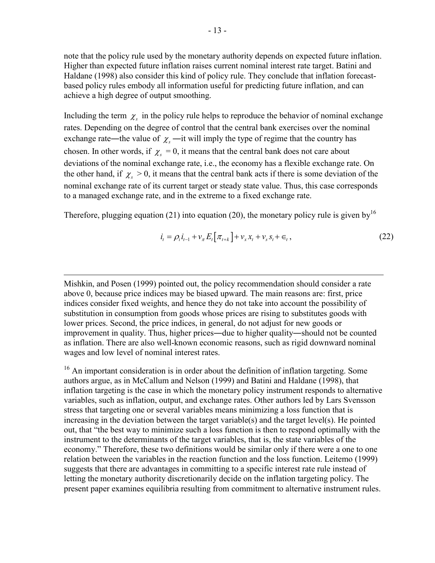note that the policy rule used by the monetary authority depends on expected future inflation. Higher than expected future inflation raises current nominal interest rate target. Batini and Haldane (1998) also consider this kind of policy rule. They conclude that inflation forecastbased policy rules embody all information useful for predicting future inflation, and can achieve a high degree of output smoothing.

Including the term  $\chi$ <sub>s</sub> in the policy rule helps to reproduce the behavior of nominal exchange rates. Depending on the degree of control that the central bank exercises over the nominal exchange rate—the value of  $\chi$ <sub>s</sub>—it will imply the type of regime that the country has chosen. In other words, if  $\chi_s = 0$ , it means that the central bank does not care about deviations of the nominal exchange rate, i.e., the economy has a flexible exchange rate. On the other hand, if  $\chi_s > 0$ , it means that the central bank acts if there is some deviation of the nominal exchange rate of its current target or steady state value. Thus, this case corresponds to a managed exchange rate, and in the extreme to a fixed exchange rate.

Therefore, plugging equation (21) into equation (20), the monetary policy rule is given by<sup>16</sup>

$$
i_{t} = \rho_{i} i_{t-1} + \nu_{\pi} E_{t} [\pi_{t+k}] + \nu_{x} x_{t} + \nu_{s} s_{t} + \epsilon_{t},
$$
\n(22)

Mishkin, and Posen (1999) pointed out, the policy recommendation should consider a rate above 0, because price indices may be biased upward. The main reasons are: first, price indices consider fixed weights, and hence they do not take into account the possibility of substitution in consumption from goods whose prices are rising to substitutes goods with lower prices. Second, the price indices, in general, do not adjust for new goods or improvement in quality. Thus, higher prices―due to higher quality―should not be counted as inflation. There are also well-known economic reasons, such as rigid downward nominal wages and low level of nominal interest rates.

 $\overline{a}$ 

<sup>16</sup> An important consideration is in order about the definition of inflation targeting. Some authors argue, as in McCallum and Nelson (1999) and Batini and Haldane (1998), that inflation targeting is the case in which the monetary policy instrument responds to alternative variables, such as inflation, output, and exchange rates. Other authors led by Lars Svensson stress that targeting one or several variables means minimizing a loss function that is increasing in the deviation between the target variable(s) and the target level(s). He pointed out, that "the best way to minimize such a loss function is then to respond optimally with the instrument to the determinants of the target variables, that is, the state variables of the economy." Therefore, these two definitions would be similar only if there were a one to one relation between the variables in the reaction function and the loss function. Leitemo (1999) suggests that there are advantages in committing to a specific interest rate rule instead of letting the monetary authority discretionarily decide on the inflation targeting policy. The present paper examines equilibria resulting from commitment to alternative instrument rules.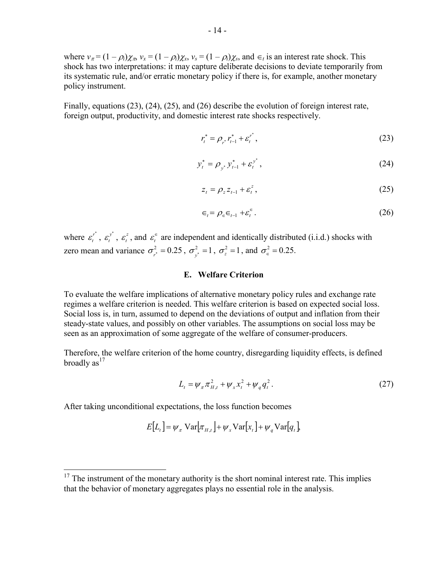where  $v_{\pi} = (1 - \rho_i)\chi_{\pi}$ ,  $v_x = (1 - \rho_i)\chi_x$ ,  $v_s = (1 - \rho_i)\chi_s$ , and  $\epsilon_t$  is an interest rate shock. This shock has two interpretations: it may capture deliberate decisions to deviate temporarily from its systematic rule, and/or erratic monetary policy if there is, for example, another monetary policy instrument.

Finally, equations (23), (24), (25), and (26) describe the evolution of foreign interest rate, foreign output, productivity, and domestic interest rate shocks respectively.

$$
r_t^* = \rho_{r^*} r_{t-1}^* + \varepsilon_t^{r^*},
$$
\n(23)

$$
y_t^* = \rho_{y^*} y_{t-1}^* + \varepsilon_t^{y^*}, \tag{24}
$$

$$
z_t = \rho_z z_{t-1} + \varepsilon_t^z, \tag{25}
$$

$$
\epsilon_t = \rho_{\epsilon} \epsilon_{t-1} + \varepsilon_t^{\epsilon} \,. \tag{26}
$$

where  $\varepsilon_t^{r^*}$ ,  $\varepsilon_t^{y^*}$ ,  $\varepsilon_t^z$ , and  $\varepsilon_t^{\epsilon}$  are independent and identically distributed (i.i.d.) shocks with zero mean and variance  $\sigma_{r^*}^2 = 0.25$ ,  $\sigma_{y^*}^2 = 1$ ,  $\sigma_z^2 = 1$ , and  $\sigma_{\epsilon}^2 = 0.25$ .

#### **E. Welfare Criterion**

To evaluate the welfare implications of alternative monetary policy rules and exchange rate regimes a welfare criterion is needed. This welfare criterion is based on expected social loss. Social loss is, in turn, assumed to depend on the deviations of output and inflation from their steady-state values, and possibly on other variables. The assumptions on social loss may be seen as an approximation of some aggregate of the welfare of consumer-producers.

Therefore, the welfare criterion of the home country, disregarding liquidity effects, is defined broadly  $as<sup>17</sup>$ 

$$
L_t = \psi_{\pi} \pi_{H,t}^2 + \psi_{x} x_t^2 + \psi_{q} q_t^2.
$$
 (27)

After taking unconditional expectations, the loss function becomes

1

$$
E[L_t] = \psi_{\pi} \operatorname{Var}[\pi_{H,t}] + \psi_{\pi} \operatorname{Var}[x_t] + \psi_{q} \operatorname{Var}[q_t]
$$

 $17$  The instrument of the monetary authority is the short nominal interest rate. This implies that the behavior of monetary aggregates plays no essential role in the analysis.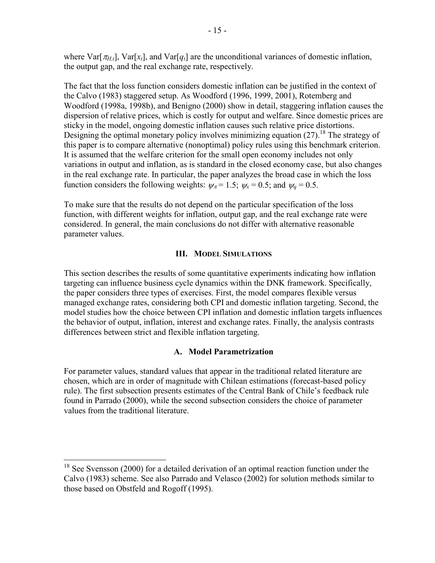where  $\text{Var}[\pi_{H_t}]$ ,  $\text{Var}[x_t]$ , and  $\text{Var}[q_t]$  are the unconditional variances of domestic inflation, the output gap, and the real exchange rate, respectively.

The fact that the loss function considers domestic inflation can be justified in the context of the Calvo (1983) staggered setup. As Woodford (1996, 1999, 2001), Rotemberg and Woodford (1998a, 1998b), and Benigno (2000) show in detail, staggering inflation causes the dispersion of relative prices, which is costly for output and welfare. Since domestic prices are sticky in the model, ongoing domestic inflation causes such relative price distortions. Designing the optimal monetary policy involves minimizing equation  $(27)^{18}$ . The strategy of this paper is to compare alternative (nonoptimal) policy rules using this benchmark criterion. It is assumed that the welfare criterion for the small open economy includes not only variations in output and inflation, as is standard in the closed economy case, but also changes in the real exchange rate. In particular, the paper analyzes the broad case in which the loss function considers the following weights:  $\psi_{\pi} = 1.5$ ;  $\psi_{\pi} = 0.5$ ; and  $\psi_{q} = 0.5$ .

To make sure that the results do not depend on the particular specification of the loss function, with different weights for inflation, output gap, and the real exchange rate were considered. In general, the main conclusions do not differ with alternative reasonable parameter values.

# **III. MODEL SIMULATIONS**

This section describes the results of some quantitative experiments indicating how inflation targeting can influence business cycle dynamics within the DNK framework. Specifically, the paper considers three types of exercises. First, the model compares flexible versus managed exchange rates, considering both CPI and domestic inflation targeting. Second, the model studies how the choice between CPI inflation and domestic inflation targets influences the behavior of output, inflation, interest and exchange rates. Finally, the analysis contrasts differences between strict and flexible inflation targeting.

#### **A. Model Parametrization**

For parameter values, standard values that appear in the traditional related literature are chosen, which are in order of magnitude with Chilean estimations (forecast-based policy rule). The first subsection presents estimates of the Central Bank of Chile's feedback rule found in Parrado (2000), while the second subsection considers the choice of parameter values from the traditional literature.

<sup>&</sup>lt;sup>18</sup> See Svensson (2000) for a detailed derivation of an optimal reaction function under the Calvo (1983) scheme. See also Parrado and Velasco (2002) for solution methods similar to those based on Obstfeld and Rogoff (1995).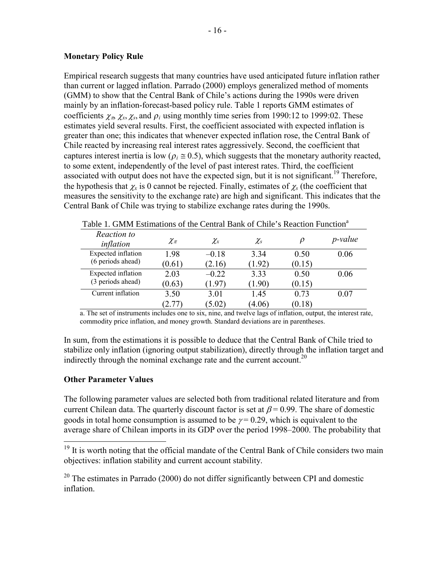# **Monetary Policy Rule**

Empirical research suggests that many countries have used anticipated future inflation rather than current or lagged inflation. Parrado (2000) employs generalized method of moments (GMM) to show that the Central Bank of Chile's actions during the 1990s were driven mainly by an inflation-forecast-based policy rule. Table 1 reports GMM estimates of coefficients  $\chi_{\pi}$ ,  $\chi_{\chi}$ ,  $\chi_{\chi}$ , and  $\rho_i$  using monthly time series from 1990:12 to 1999:02. These estimates yield several results. First, the coefficient associated with expected inflation is greater than one; this indicates that whenever expected inflation rose, the Central Bank of Chile reacted by increasing real interest rates aggressively. Second, the coefficient that captures interest inertia is low ( $\rho_i \approx 0.5$ ), which suggests that the monetary authority reacted, to some extent, independently of the level of past interest rates. Third, the coefficient associated with output does not have the expected sign, but it is not significant.<sup>19</sup> Therefore, the hypothesis that  $\chi$  is 0 cannot be rejected. Finally, estimates of  $\chi$ <sub>s</sub> (the coefficient that measures the sensitivity to the exchange rate) are high and significant. This indicates that the Central Bank of Chile was trying to stabilize exchange rates during the 1990s.

| Tuoto T. Olittii Louthuuono ol ulo Contrui Duini ol Chilo o Rouotton Funotton |            |                   |          |        |                 |  |  |
|-------------------------------------------------------------------------------|------------|-------------------|----------|--------|-----------------|--|--|
| Reaction to<br>inflation                                                      | $\chi_\pi$ | $\chi_{\text{x}}$ | $\chi_s$ |        | <i>p</i> -value |  |  |
| Expected inflation                                                            | 1.98       | $-0.18$           | 3.34     | 0.50   | 0.06            |  |  |
| (6 periods ahead)                                                             | (0.61)     | (2.16)            | (1.92)   | (0.15) |                 |  |  |
| Expected inflation                                                            | 2.03       | $-0.22$           | 3.33     | 0.50   | 0.06            |  |  |
| (3 periods ahead)                                                             | (0.63)     | 1.97              | (1.90)   | (0.15) |                 |  |  |
| Current inflation                                                             | 3.50       | 3.01              | 1.45     | 0.73   | 0.07            |  |  |
|                                                                               | 2.77       | (5.02)            | (4.06)   | (0.18) |                 |  |  |

Table 1. GMM Estimations of the Central Bank of Chile's Reaction Function<sup>a</sup>

a. The set of instruments includes one to six, nine, and twelve lags of inflation, output, the interest rate, commodity price inflation, and money growth. Standard deviations are in parentheses.

In sum, from the estimations it is possible to deduce that the Central Bank of Chile tried to stabilize only inflation (ignoring output stabilization), directly through the inflation target and indirectly through the nominal exchange rate and the current account.<sup>20</sup>

# **Other Parameter Values**

<u>.</u>

The following parameter values are selected both from traditional related literature and from current Chilean data. The quarterly discount factor is set at  $\beta$  = 0.99. The share of domestic goods in total home consumption is assumed to be  $\gamma = 0.29$ , which is equivalent to the average share of Chilean imports in its GDP over the period 1998–2000. The probability that

 $19$  It is worth noting that the official mandate of the Central Bank of Chile considers two main objectives: inflation stability and current account stability.

 $20$  The estimates in Parrado (2000) do not differ significantly between CPI and domestic inflation.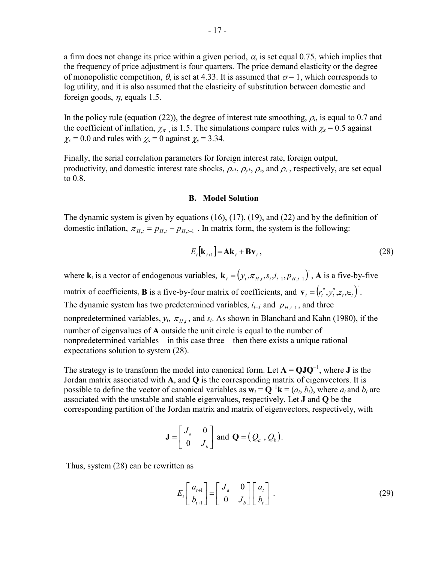a firm does not change its price within a given period,  $\alpha$ , is set equal 0.75, which implies that the frequency of price adjustment is four quarters. The price demand elasticity or the degree of monopolistic competition,  $\theta$ , is set at 4.33. It is assumed that  $\sigma = 1$ , which corresponds to log utility, and it is also assumed that the elasticity of substitution between domestic and foreign goods,  $\eta$ , equals 1.5.

In the policy rule (equation (22)), the degree of interest rate smoothing,  $\rho_i$ , is equal to 0.7 and the coefficient of inflation,  $\chi_{\pi}$  is 1.5. The simulations compare rules with  $\chi_{\rm x} = 0.5$  against  $\chi_{\rm x}$  = 0.0 and rules with  $\chi_{\rm s}$  = 0 against  $\chi_{\rm s}$  = 3.34.

Finally, the serial correlation parameters for foreign interest rate, foreign output, productivity, and domestic interest rate shocks,  $\rho_{r^*}, \rho_{r^*}, \rho_{r^*}$  and  $\rho_{\epsilon}$ , respectively, are set equal to 0.8.

#### **B. Model Solution**

The dynamic system is given by equations (16), (17), (19), and (22) and by the definition of domestic inflation,  $\pi_{H,t} = p_{H,t} - p_{H,t-1}$ . In matrix form, the system is the following:

$$
E_t[\mathbf{k}_{t+1}] = \mathbf{A}\mathbf{k}_t + \mathbf{B}\mathbf{v}_t, \qquad (28)
$$

where  $\mathbf{k}_t$  is a vector of endogenous variables,  $\mathbf{k}_t = (y_t, \pi_{H,t}, s_t, i_{t-1}, p_{H,t-1})$ , A is a five-by-five

matrix of coefficients, **B** is a five-by-four matrix of coefficients, and  $\mathbf{v}_t = (r_t^*, y_t^*, z_t, \epsilon_t)$ . The dynamic system has two predetermined variables,  $i_{t-1}$  and  $p_{H_{t-1}}$ , and three nonpredetermined variables,  $y_t$ ,  $\pi_{H_t}$ , and  $s_t$ . As shown in Blanchard and Kahn (1980), if the number of eigenvalues of **A** outside the unit circle is equal to the number of nonpredetermined variables—in this case three—then there exists a unique rational expectations solution to system (28).

The strategy is to transform the model into canonical form. Let  $A = QJO^{-1}$ , where **J** is the Jordan matrix associated with **A**, and **Q** is the corresponding matrix of eigenvectors. It is possible to define the vector of canonical variables as  $\mathbf{w}_t = \mathbf{Q}^{-1}\mathbf{k} = (a_t, b_t)$ , where  $a_t$  and  $b_t$  are associated with the unstable and stable eigenvalues, respectively. Let **J** and **Q** be the corresponding partition of the Jordan matrix and matrix of eigenvectors, respectively, with

$$
\mathbf{J} = \begin{bmatrix} J_a & 0 \\ 0 & J_b \end{bmatrix} \text{ and } \mathbf{Q} = (Q_a, Q_b).
$$

Thus, system (28) can be rewritten as

$$
E_t \begin{bmatrix} a_{t+1} \\ b_{t+1} \end{bmatrix} = \begin{bmatrix} J_a & 0 \\ 0 & J_b \end{bmatrix} \begin{bmatrix} a_t \\ b_t \end{bmatrix} . \tag{29}
$$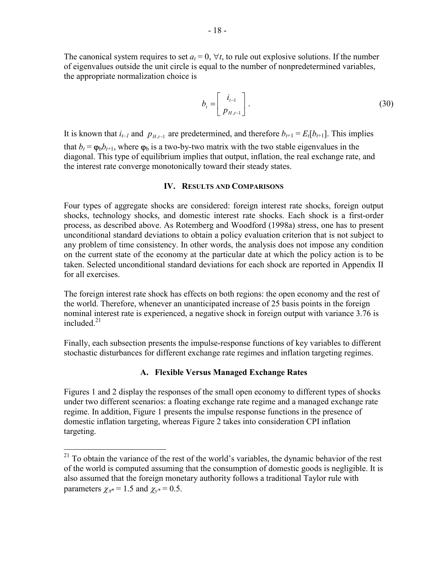The canonical system requires to set  $a_t = 0$ ,  $\forall t$ , to rule out explosive solutions. If the number of eigenvalues outside the unit circle is equal to the number of nonpredetermined variables, the appropriate normalization choice is

$$
b_t = \begin{bmatrix} i_{t-1} \\ p_{H,t-1} \end{bmatrix}.
$$
 (30)

It is known that  $i_{t-1}$  and  $p_{H_{t-1}}$  are predetermined, and therefore  $b_{t+1} = E_t[b_{t+1}]$ . This implies that  $b_t = \varphi_b b_{t+1}$ , where  $\varphi_b$  is a two-by-two matrix with the two stable eigenvalues in the diagonal. This type of equilibrium implies that output, inflation, the real exchange rate, and the interest rate converge monotonically toward their steady states.

#### **IV. RESULTS AND COMPARISONS**

Four types of aggregate shocks are considered: foreign interest rate shocks, foreign output shocks, technology shocks, and domestic interest rate shocks. Each shock is a first-order process, as described above. As Rotemberg and Woodford (1998a) stress, one has to present unconditional standard deviations to obtain a policy evaluation criterion that is not subject to any problem of time consistency. In other words, the analysis does not impose any condition on the current state of the economy at the particular date at which the policy action is to be taken. Selected unconditional standard deviations for each shock are reported in Appendix II for all exercises.

The foreign interest rate shock has effects on both regions: the open economy and the rest of the world. Therefore, whenever an unanticipated increase of 25 basis points in the foreign nominal interest rate is experienced, a negative shock in foreign output with variance 3.76 is included. $21$ 

Finally, each subsection presents the impulse-response functions of key variables to different stochastic disturbances for different exchange rate regimes and inflation targeting regimes.

#### **A. Flexible Versus Managed Exchange Rates**

Figures 1 and 2 display the responses of the small open economy to different types of shocks under two different scenarios: a floating exchange rate regime and a managed exchange rate regime. In addition, Figure 1 presents the impulse response functions in the presence of domestic inflation targeting, whereas Figure 2 takes into consideration CPI inflation targeting.

 $2<sup>1</sup>$  To obtain the variance of the rest of the world's variables, the dynamic behavior of the rest of the world is computed assuming that the consumption of domestic goods is negligible. It is also assumed that the foreign monetary authority follows a traditional Taylor rule with parameters  $\chi_{\pi^*} = 1.5$  and  $\chi_{v^*} = 0.5$ .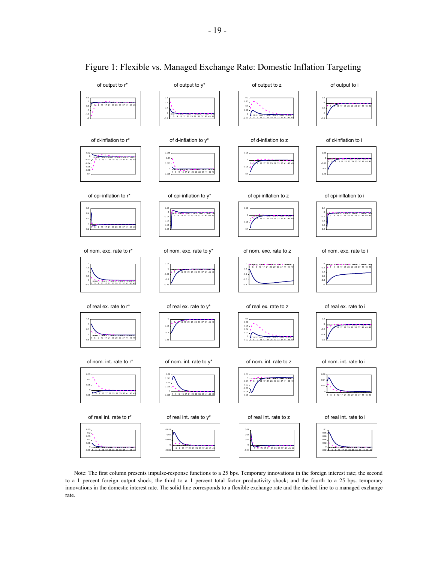

# Figure 1: Flexible vs. Managed Exchange Rate: Domestic Inflation Targeting

Note: The first column presents impulse-response functions to a 25 bps. Temporary innovations in the foreign interest rate; the second to a 1 percent foreign output shock; the third to a 1 percent total factor productivity shock; and the fourth to a 25 bps. temporary innovations in the domestic interest rate. The solid line corresponds to a flexible exchange rate and the dashed line to a managed exchange rate.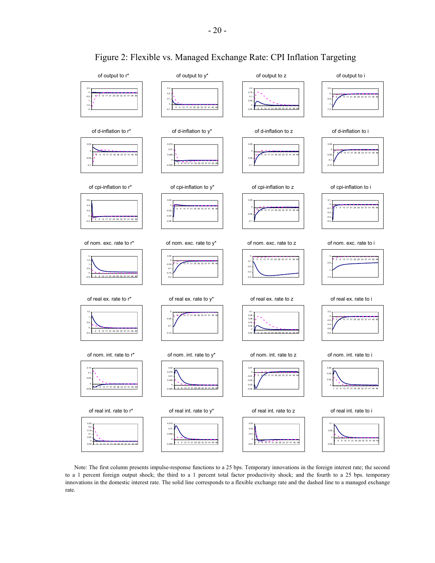

# Figure 2: Flexible vs. Managed Exchange Rate: CPI Inflation Targeting

Note: The first column presents impulse-response functions to a 25 bps. Temporary innovations in the foreign interest rate; the second to a 1 percent foreign output shock; the third to a 1 percent total factor productivity shock; and the fourth to a 25 bps. temporary innovations in the domestic interest rate. The solid line corresponds to a flexible exchange rate and the dashed line to a managed exchange rate.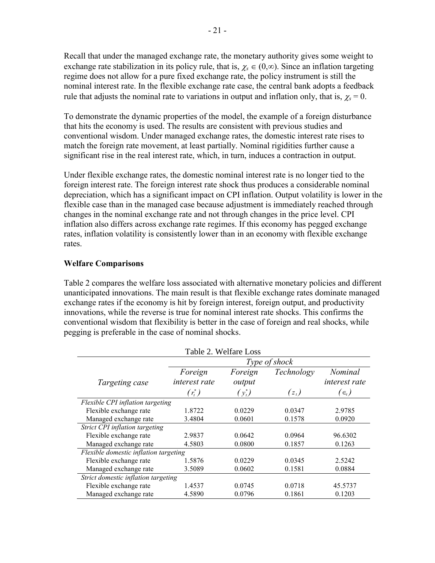Recall that under the managed exchange rate, the monetary authority gives some weight to exchange rate stabilization in its policy rule, that is,  $\chi_s \in (0, \infty)$ . Since an inflation targeting regime does not allow for a pure fixed exchange rate, the policy instrument is still the nominal interest rate. In the flexible exchange rate case, the central bank adopts a feedback rule that adjusts the nominal rate to variations in output and inflation only, that is,  $\chi_s = 0$ .

To demonstrate the dynamic properties of the model, the example of a foreign disturbance that hits the economy is used. The results are consistent with previous studies and conventional wisdom. Under managed exchange rates, the domestic interest rate rises to match the foreign rate movement, at least partially. Nominal rigidities further cause a significant rise in the real interest rate, which, in turn, induces a contraction in output.

Under flexible exchange rates, the domestic nominal interest rate is no longer tied to the foreign interest rate. The foreign interest rate shock thus produces a considerable nominal depreciation, which has a significant impact on CPI inflation. Output volatility is lower in the flexible case than in the managed case because adjustment is immediately reached through changes in the nominal exchange rate and not through changes in the price level. CPI inflation also differs across exchange rate regimes. If this economy has pegged exchange rates, inflation volatility is consistently lower than in an economy with flexible exchange rates.

# **Welfare Comparisons**

Table 2 compares the welfare loss associated with alternative monetary policies and different unanticipated innovations. The main result is that flexible exchange rates dominate managed exchange rates if the economy is hit by foreign interest, foreign output, and productivity innovations, while the reverse is true for nominal interest rate shocks. This confirms the conventional wisdom that flexibility is better in the case of foreign and real shocks, while pegging is preferable in the case of nominal shocks.

| Table 2. Welfare Loss                 |                      |           |            |                                      |  |  |  |
|---------------------------------------|----------------------|-----------|------------|--------------------------------------|--|--|--|
|                                       | <i>Type of shock</i> |           |            |                                      |  |  |  |
|                                       | Foreign              | Foreign   | Technology | Nominal                              |  |  |  |
| Targeting case                        | interest rate        | output    |            | interest rate                        |  |  |  |
|                                       | $(r_{t}^{*})$        | $(y_t^*)$ | $(z_t)$    | $(\epsilon_{\scriptscriptstyle{t}})$ |  |  |  |
| Flexible CPI inflation targeting      |                      |           |            |                                      |  |  |  |
| Flexible exchange rate                | 1.8722               | 0.0229    | 0.0347     | 2.9785                               |  |  |  |
| Managed exchange rate                 | 3.4804               | 0.0601    | 0.1578     | 0.0920                               |  |  |  |
| Strict CPI inflation targeting        |                      |           |            |                                      |  |  |  |
| Flexible exchange rate                | 2.9837               | 0.0642    | 0.0964     | 96.6302                              |  |  |  |
| Managed exchange rate                 | 4.5803               | 0.0800    | 0.1857     | 0.1263                               |  |  |  |
| Flexible domestic inflation targeting |                      |           |            |                                      |  |  |  |
| Flexible exchange rate                | 1.5876               | 0.0229    | 0.0345     | 2.5242                               |  |  |  |
| Managed exchange rate                 | 3.5089               | 0.0602    | 0.1581     | 0.0884                               |  |  |  |
| Strict domestic inflation targeting   |                      |           |            |                                      |  |  |  |
| Flexible exchange rate                | 1.4537               | 0.0745    | 0.0718     | 45.5737                              |  |  |  |
| Managed exchange rate                 | 4.5890               | 0.0796    | 0.1861     | 0.1203                               |  |  |  |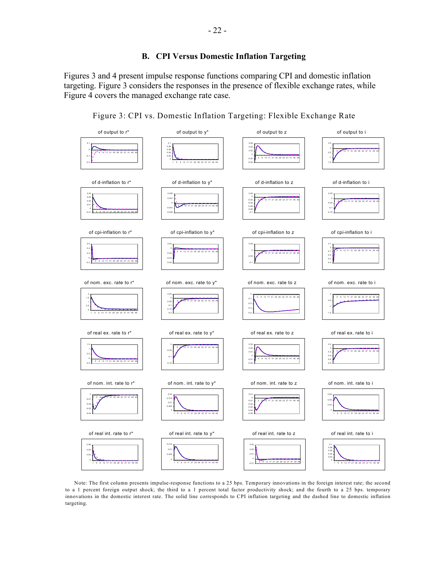# **B. CPI Versus Domestic Inflation Targeting**

Figures 3 and 4 present impulse response functions comparing CPI and domestic inflation targeting. Figure 3 considers the responses in the presence of flexible exchange rates, while Figure 4 covers the managed exchange rate case.



Figure 3: CPI vs. Domestic Inflation Targeting: Flexible Exchange Rate

Note: The first column presents impulse-response functions to a 25 bps. Temporary innovations in the foreign interest rate; the second to a 1 percent foreign output shock; the third to a 1 percent total factor productivity shock; and the fourth to a 25 bps. temporary innovations in the domestic interest rate. The solid line corresponds to CPI inflation targeting and the dashed line to domestic inflation targeting.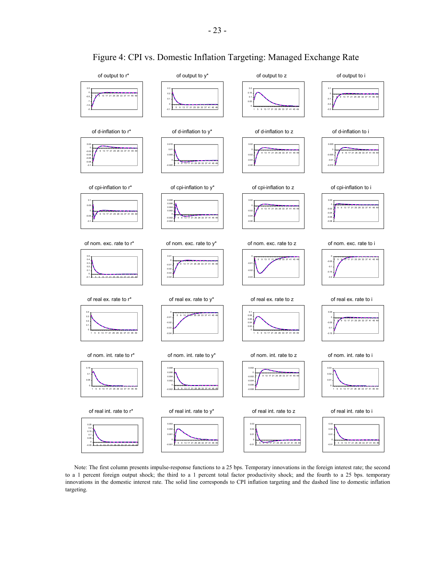

# Figure 4: CPI vs. Domestic Inflation Targeting: Managed Exchange Rate

Note: The first column presents impulse-response functions to a 25 bps. Temporary innovations in the foreign interest rate; the second to a 1 percent foreign output shock; the third to a 1 percent total factor productivity shock; and the fourth to a 25 bps. temporary innovations in the domestic interest rate. The solid line corresponds to CPI inflation targeting and the dashed line to domestic inflation targeting.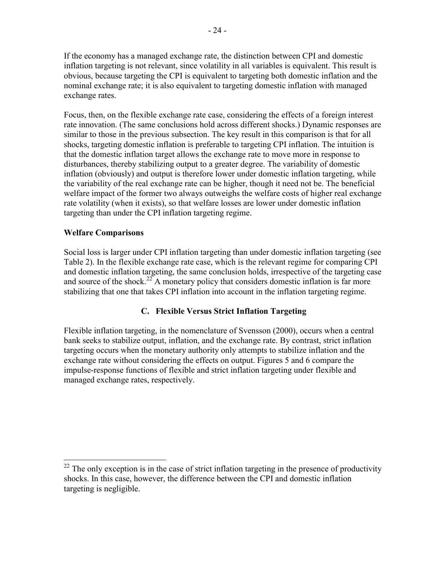If the economy has a managed exchange rate, the distinction between CPI and domestic inflation targeting is not relevant, since volatility in all variables is equivalent. This result is obvious, because targeting the CPI is equivalent to targeting both domestic inflation and the nominal exchange rate; it is also equivalent to targeting domestic inflation with managed exchange rates.

Focus, then, on the flexible exchange rate case, considering the effects of a foreign interest rate innovation. (The same conclusions hold across different shocks.) Dynamic responses are similar to those in the previous subsection. The key result in this comparison is that for all shocks, targeting domestic inflation is preferable to targeting CPI inflation. The intuition is that the domestic inflation target allows the exchange rate to move more in response to disturbances, thereby stabilizing output to a greater degree. The variability of domestic inflation (obviously) and output is therefore lower under domestic inflation targeting, while the variability of the real exchange rate can be higher, though it need not be. The beneficial welfare impact of the former two always outweighs the welfare costs of higher real exchange rate volatility (when it exists), so that welfare losses are lower under domestic inflation targeting than under the CPI inflation targeting regime.

# **Welfare Comparisons**

 $\overline{a}$ 

Social loss is larger under CPI inflation targeting than under domestic inflation targeting (see Table 2). In the flexible exchange rate case, which is the relevant regime for comparing CPI and domestic inflation targeting, the same conclusion holds, irrespective of the targeting case and source of the shock.<sup>22</sup> A monetary policy that considers domestic inflation is far more stabilizing that one that takes CPI inflation into account in the inflation targeting regime.

# **C. Flexible Versus Strict Inflation Targeting**

Flexible inflation targeting, in the nomenclature of Svensson (2000), occurs when a central bank seeks to stabilize output, inflation, and the exchange rate. By contrast, strict inflation targeting occurs when the monetary authority only attempts to stabilize inflation and the exchange rate without considering the effects on output. Figures 5 and 6 compare the impulse-response functions of flexible and strict inflation targeting under flexible and managed exchange rates, respectively.

 $22$  The only exception is in the case of strict inflation targeting in the presence of productivity shocks. In this case, however, the difference between the CPI and domestic inflation targeting is negligible.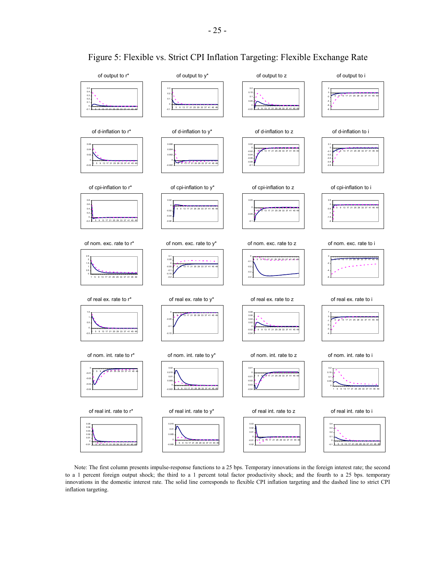

Figure 5: Flexible vs. Strict CPI Inflation Targeting: Flexible Exchange Rate

Note: The first column presents impulse-response functions to a 25 bps. Temporary innovations in the foreign interest rate; the second to a 1 percent foreign output shock; the third to a 1 percent total factor productivity shock; and the fourth to a 25 bps. temporary innovations in the domestic interest rate. The solid line corresponds to flexible CPI inflation targeting and the dashed line to strict CPI inflation targeting.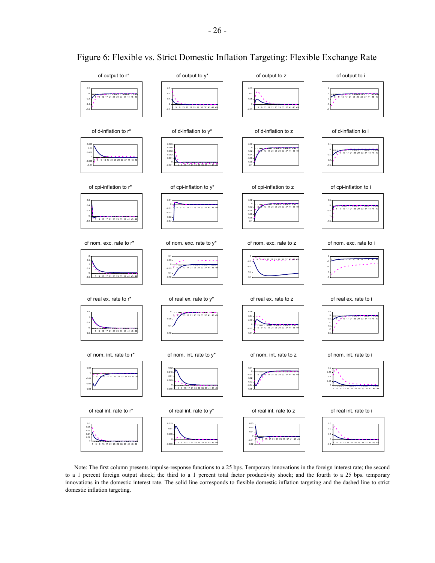

Figure 6: Flexible vs. Strict Domestic Inflation Targeting: Flexible Exchange Rate

Note: The first column presents impulse-response functions to a 25 bps. Temporary innovations in the foreign interest rate; the second to a 1 percent foreign output shock; the third to a 1 percent total factor productivity shock; and the fourth to a 25 bps. temporary innovations in the domestic interest rate. The solid line corresponds to flexible domestic inflation targeting and the dashed line to strict domestic inflation targeting.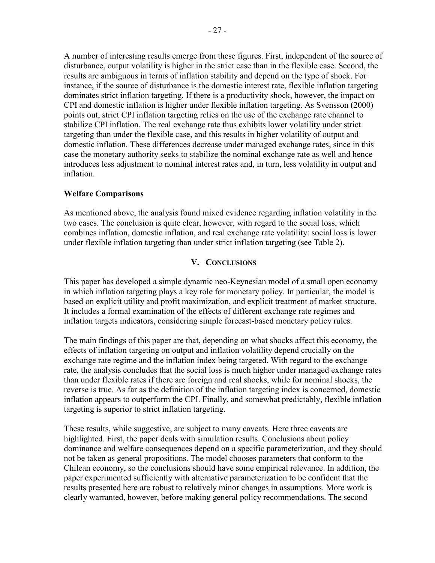A number of interesting results emerge from these figures. First, independent of the source of disturbance, output volatility is higher in the strict case than in the flexible case. Second, the results are ambiguous in terms of inflation stability and depend on the type of shock. For instance, if the source of disturbance is the domestic interest rate, flexible inflation targeting dominates strict inflation targeting. If there is a productivity shock, however, the impact on CPI and domestic inflation is higher under flexible inflation targeting. As Svensson (2000) points out, strict CPI inflation targeting relies on the use of the exchange rate channel to stabilize CPI inflation. The real exchange rate thus exhibits lower volatility under strict targeting than under the flexible case, and this results in higher volatility of output and domestic inflation. These differences decrease under managed exchange rates, since in this case the monetary authority seeks to stabilize the nominal exchange rate as well and hence introduces less adjustment to nominal interest rates and, in turn, less volatility in output and inflation.

# **Welfare Comparisons**

As mentioned above, the analysis found mixed evidence regarding inflation volatility in the two cases. The conclusion is quite clear, however, with regard to the social loss, which combines inflation, domestic inflation, and real exchange rate volatility: social loss is lower under flexible inflation targeting than under strict inflation targeting (see Table 2).

# **V. CONCLUSIONS**

This paper has developed a simple dynamic neo-Keynesian model of a small open economy in which inflation targeting plays a key role for monetary policy. In particular, the model is based on explicit utility and profit maximization, and explicit treatment of market structure. It includes a formal examination of the effects of different exchange rate regimes and inflation targets indicators, considering simple forecast-based monetary policy rules.

The main findings of this paper are that, depending on what shocks affect this economy, the effects of inflation targeting on output and inflation volatility depend crucially on the exchange rate regime and the inflation index being targeted. With regard to the exchange rate, the analysis concludes that the social loss is much higher under managed exchange rates than under flexible rates if there are foreign and real shocks, while for nominal shocks, the reverse is true. As far as the definition of the inflation targeting index is concerned, domestic inflation appears to outperform the CPI. Finally, and somewhat predictably, flexible inflation targeting is superior to strict inflation targeting.

These results, while suggestive, are subject to many caveats. Here three caveats are highlighted. First, the paper deals with simulation results. Conclusions about policy dominance and welfare consequences depend on a specific parameterization, and they should not be taken as general propositions. The model chooses parameters that conform to the Chilean economy, so the conclusions should have some empirical relevance. In addition, the paper experimented sufficiently with alternative parameterization to be confident that the results presented here are robust to relatively minor changes in assumptions. More work is clearly warranted, however, before making general policy recommendations. The second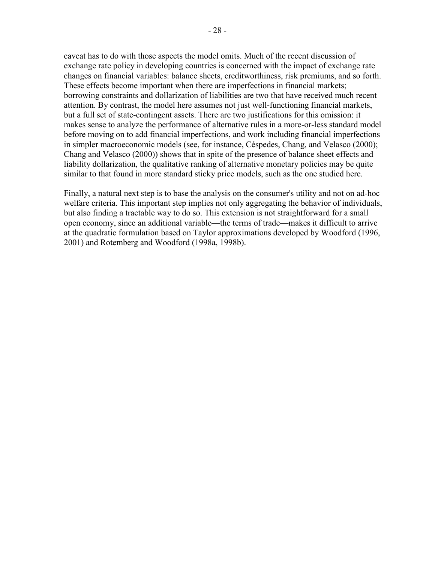caveat has to do with those aspects the model omits. Much of the recent discussion of exchange rate policy in developing countries is concerned with the impact of exchange rate changes on financial variables: balance sheets, creditworthiness, risk premiums, and so forth. These effects become important when there are imperfections in financial markets; borrowing constraints and dollarization of liabilities are two that have received much recent attention. By contrast, the model here assumes not just well-functioning financial markets, but a full set of state-contingent assets. There are two justifications for this omission: it makes sense to analyze the performance of alternative rules in a more-or-less standard model before moving on to add financial imperfections, and work including financial imperfections in simpler macroeconomic models (see, for instance, Céspedes, Chang, and Velasco (2000); Chang and Velasco (2000)) shows that in spite of the presence of balance sheet effects and liability dollarization, the qualitative ranking of alternative monetary policies may be quite similar to that found in more standard sticky price models, such as the one studied here.

Finally, a natural next step is to base the analysis on the consumer's utility and not on ad-hoc welfare criteria. This important step implies not only aggregating the behavior of individuals, but also finding a tractable way to do so. This extension is not straightforward for a small open economy, since an additional variable—the terms of trade—makes it difficult to arrive at the quadratic formulation based on Taylor approximations developed by Woodford (1996, 2001) and Rotemberg and Woodford (1998a, 1998b).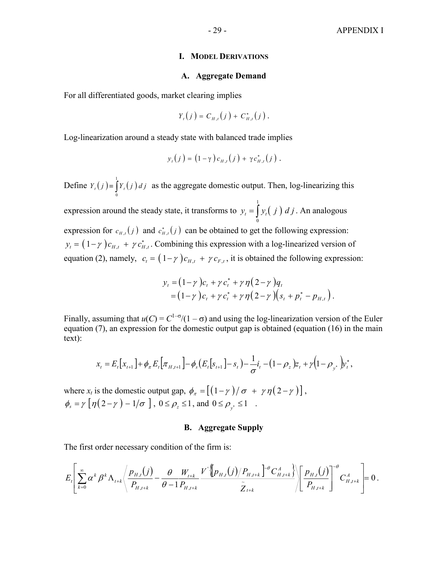#### **I. MODEL DERIVATIONS**

#### **A. Aggregate Demand**

For all differentiated goods, market clearing implies

$$
Y_{t}(j) = C_{H,t}(j) + C_{H,t}^{*}(j).
$$

Log-linearization around a steady state with balanced trade implies

$$
y_t(j) = (1 - \gamma) c_{H,t}(j) + \gamma c_{H,t}^*(j).
$$

Define  $Y_t(j) = \int y_t(j)$ 0  $Y_t(j) = \int Y_t(j) \, d\,j$  as the aggregate domestic output. Then, log-linearizing this expression around the steady state, it transforms to  $y_t = \int y_t ( j )$ 1  $y_t = \int_0^t y_t(j) \, d \, j$ . An analogous expression for  $c_{H,t}(j)$  and  $c_{H,t}^*(j)$  can be obtained to get the following expression:  $y_t = (1 - \gamma) c_{H,t} + \gamma c_{H,t}^*$ . Combining this expression with a log-linearized version of equation (2), namely,  $c_t = (1 - \gamma) c_{H,t} + \gamma c_{F,t}$ , it is obtained the following expression:

$$
y_t = (1 - \gamma) c_t + \gamma c_t^* + \gamma \eta (2 - \gamma) q_t
$$
  
=  $(1 - \gamma) c_t + \gamma c_t^* + \gamma \eta (2 - \gamma) (s_t + p_t^* - p_{H,t}).$ 

Finally, assuming that  $u(C) = C^{1-\sigma}/(1-\sigma)$  and using the log-linearization version of the Euler equation (7), an expression for the domestic output gap is obtained (equation (16) in the main text):

$$
x_{t} = E_{t}[x_{t+1}] + \phi_{\pi} E_{t}[\pi_{H,t+1}] - \phi_{s}(E_{t}[s_{t+1}] - s_{t}) - \frac{1}{\sigma}i_{t} - (1 - \rho_{z})z_{t} + \gamma(1 - \rho_{y^{*}})y_{t}^{*},
$$

where  $x_t$  is the domestic output gap,  $\phi_{\pi} = \left[ \left( 1 - \gamma \right) / \sigma + \gamma \eta \left( 2 - \gamma \right) \right]$ ,  $\phi_s = \gamma \left[ \eta(2-\gamma) - 1/\sigma \right]$ ,  $0 \le \rho_z \le 1$ , and  $0 \le \rho_{y^*} \le 1$ .

#### **B. Aggregate Supply**

The first order necessary condition of the firm is:

$$
E_{t}\left[\sum_{k=0}^{\infty} \alpha^{k} \beta^{k} \Lambda_{t+k}\left\langle \frac{p_{H,t}(j)}{P_{H,t+k}} - \frac{\theta}{\theta-1} \frac{W_{t+k}}{P_{H,t+k}} \frac{V^{\cdot} \left\langle p_{H,t}(j)/P_{H,t+k} \right\rangle^{\theta} C_{H,t+k}^{A}}{\tilde{Z}_{t+k}} \right\rangle \left\langle \frac{p_{H,t}(j)}{P_{H,t+k}} \right\rangle^{\theta} C_{H,t+k}^{A} = 0.
$$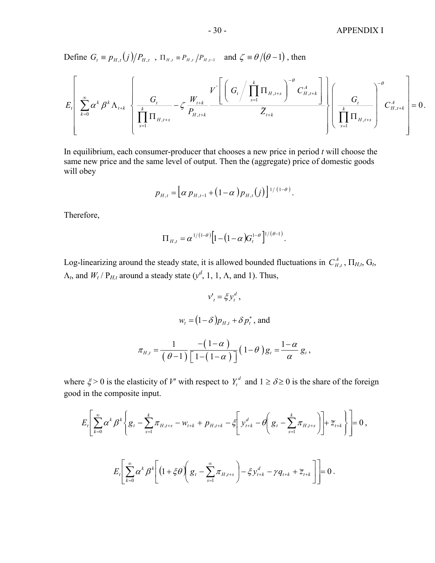Define  $G_t \equiv p_{H,t}(j)/P_{H,t}$ ,  $\Pi_{H,t} \equiv P_{H,t}/P_{H,t-1}$  and  $\zeta \equiv \theta/(\theta-1)$ , then

$$
E_{t}\left[\sum_{k=0}^{\infty} \alpha^{k} \beta^{k} \Lambda_{t+k} \left\{\frac{G_{t}}{\prod_{s=1}^{k} \Pi_{H,t+s}} - \zeta \frac{W_{t+k}}{P_{H,t+k}} \frac{V^{'}\left[\left(\frac{G_{t}}{G_{t}} + \prod_{s=1}^{k} \Pi_{H,t+s}\right)^{-\theta} C_{H,t+k}^{A}\right]}{Z_{t+k}}\right\}\left(\frac{G_{t}}{\prod_{s=1}^{k} \Pi_{H,t+s}}\right)^{-\theta} C_{H,t+k}^{A}\right] = 0.
$$

In equilibrium, each consumer-producer that chooses a new price in period *t* will choose the same new price and the same level of output. Then the (aggregate) price of domestic goods will obey

$$
p_{H,t} = [\alpha p_{H,t-1} + (1-\alpha)p_{H,t}(j)]^{1/(1-\theta)}.
$$

Therefore,

$$
\Pi_{H,t} = \alpha^{1/(1-\theta)} \Big[ 1 - (1-\alpha) G_t^{1-\theta} \Big]^{1/(\theta-1)}.
$$

Log-linearizing around the steady state, it is allowed bounded fluctuations in  $C_{H,t}^A$ ,  $\Pi_{H,t}$ ,  $G_t$ ,  $\Lambda_t$ , and  $W_t$  /  $P_{H,t}$  around a steady state  $(y^d, 1, 1, \Lambda,$  and 1). Thus,

$$
v'_{t} = \xi y_{t}^{d},
$$
  

$$
w_{t} = (1 - \delta) p_{H,t} + \delta p_{t}^{*},
$$
 and  

$$
\pi_{H,t} = \frac{1}{(\theta - 1)} \frac{-(1 - \alpha)}{[1 - (1 - \alpha)]} (1 - \theta) g_{t} = \frac{1 - \alpha}{\alpha} g_{t},
$$

where  $\xi > 0$  is the elasticity of *V'* with respect to  $Y_t^d$  and  $1 \ge \delta \ge 0$  is the share of the foreign good in the composite input.

$$
E_{t}\left[\sum_{k=0}^{\infty} \alpha^{k} \beta^{k} \left\{ g_{t} - \sum_{s=1}^{k} \pi_{H,t+s} - w_{t+k} + p_{H,t+k} - \xi \left[ y_{t+k}^{d} - \theta \left( g_{t} - \sum_{s=1}^{k} \pi_{H,t+s} \right) \right] + z_{t+k} \right\} \right] = 0,
$$
  

$$
E_{t}\left[\sum_{k=0}^{\infty} \alpha^{k} \beta^{k} \left[ (1 + \xi \theta) \left( g_{t} - \sum_{s=1}^{\infty} \pi_{H,t+s} \right) - \xi y_{t+k}^{d} - \gamma q_{t+k} + z_{t+k} \right] \right] = 0.
$$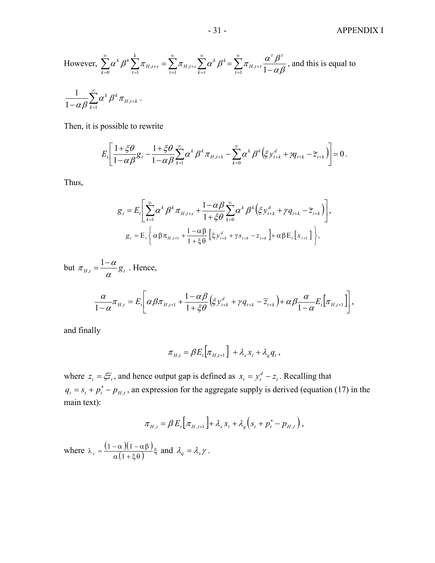#### - 31 - APPENDIX I

 $\overline{\phantom{a}}$ 

However, 
$$
\sum_{k=0}^{\infty} \alpha^k \beta^k \sum_{\tau=1}^k \pi_{H,t+s} = \sum_{\tau=1}^{\infty} \pi_{H,t+s} \sum_{k=\tau}^{\infty} \alpha^k \beta^k = \sum_{\tau=1}^{\infty} \pi_{H,t+\tau} \frac{\alpha^{\tau} \beta^{\tau}}{1-\alpha \beta}
$$
, and this is equal to 
$$
\frac{1}{1-\alpha \beta} \sum_{k=1}^{\infty} \alpha^k \beta^k \pi_{H,t+k}.
$$

Then, it is possible to rewrite

$$
E_t\left[\frac{1+\xi\theta}{1-\alpha\beta}g_t-\frac{1+\xi\theta}{1-\alpha\beta}\sum_{k=1}^{\infty}\alpha^k\beta^k\pi_{H,t+k}-\sum_{k=0}^{\infty}\alpha^k\beta^k(\xi y_{t+k}^d+\gamma q_{t+k}-\widetilde{z}_{t+k})\right]=0.
$$

Thus,

$$
g_{t} = E_{t} \left[ \sum_{k=1}^{\infty} \alpha^{k} \beta^{k} \pi_{H,t+s} + \frac{1 - \alpha \beta}{1 + \xi \theta} \sum_{k=0}^{\infty} \alpha^{k} \beta^{k} (\xi y_{t+k}^{d} + \gamma q_{t+k} - \tilde{z}_{t+k}) \right],
$$
  

$$
g_{t} = E_{t} \left\{ \alpha \beta \pi_{H,t+1} + \frac{1 - \alpha \beta}{1 + \xi \theta} [\xi y_{t+k}^{d} + \gamma s_{t+k} - z_{t+k}] + \alpha \beta E_{t} [x_{t+1}] \right\},
$$

but  $\pi_{H,t} = \frac{1-\alpha}{\alpha} g_t$  $\pi_{H,t} = \frac{1-\alpha}{g} g_t$ . Hence,  $\left( \xi y_{t+k}^d + \gamma q_{t+k} - \widetilde{z}_{t+k} \right) + \alpha \beta \frac{\alpha}{1-\alpha} E_t \left[ \pi_{H,t+1} \right]$  $\left[\alpha\beta\pi_{H,t+1} + \frac{1-\alpha\beta}{1+\beta\alpha} \Big(\xi y_{t+k}^d + \gamma q_{t+k} - \widetilde{z}_{t+k}\Big) + \alpha\beta \frac{\alpha}{1-\alpha} E_t \Big[\pi_{H,t+1}\Big]\right]$ L  $\frac{\alpha}{1-\alpha}\pi_{H,t}=E_{t}\bigg|\,\alpha\beta\pi_{H,t+1}+\frac{1-\alpha\beta}{1+\xi\theta}\big(\xi y_{t+k}^{d}+\gamma q_{t+k}-\widetilde{z}_{t+k}\big)+\alpha\beta\frac{\alpha}{1-\alpha}E_{t}\big[\pi_{H,t+1}-\pi\big]$ 1 1  $\left[1-\alpha \frac{1}{\mu} \mu_t - \frac{L_t}{\mu} \right]$   $\left(\frac{\mu}{\mu} \mu_{H,t+1} + \frac{1}{\mu} \mu_t \mu_t \right]$   $\left(\frac{\mu}{\mu} \mu_t + \frac{L_t}{\mu} \mu_t \right)$  $\frac{\alpha}{-\alpha}\pi_{H,t} = E_t \left[ \alpha \beta \pi_{H,t+1} + \frac{1-\alpha \beta}{1+\xi \theta} (\xi y_{t+k}^d + \gamma q_{t+k} - \tilde{z}_{t+k}) + \alpha \beta \frac{\alpha}{1-\alpha} E_t \left[ \pi_{H,t+1} \right] \right],$ 

and finally

$$
\pi_{H,t} = \beta E_t \Big[ \pi_{H,t+1} \Big] + \lambda_x x_t + \lambda_q q_t \,,
$$

where  $z_t = \xi \tilde{z}_t$ , and hence output gap is defined as  $x_t = y_t^d - z_t$ . Recalling that  $q_t = s_t + p_t^* - p_{H,t}$ , an expression for the aggregate supply is derived (equation (17) in the main text):

$$
\pi_{H,t} = \beta E_t \big[ \pi_{H,t+1} \big] + \lambda_x x_t + \lambda_q \big( s_t + p_t^* - p_{H,t} \big) \,,
$$

where  $\lambda_x = \frac{(1 - \alpha)(1 - \alpha \beta)}{\alpha(1 + \xi \theta)} \xi$  and  $\lambda_q = \lambda_x \gamma$ .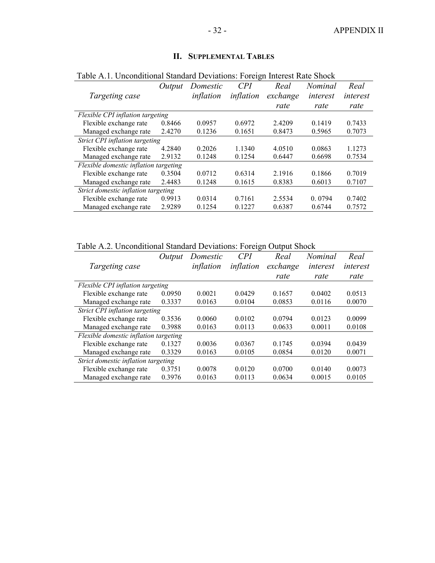| Table A.1. Unconditional Standard Deviations: Foreign Interest Rate Shock |        |           |            |          |                |          |
|---------------------------------------------------------------------------|--------|-----------|------------|----------|----------------|----------|
|                                                                           | Output | Domestic  | <i>CPI</i> | Real     | <i>Nominal</i> | Real     |
| Targeting case                                                            |        | inflation | inflation  | exchange | interest       | interest |
|                                                                           |        |           |            | rate     | rate           | rate     |
| Flexible CPI inflation targeting                                          |        |           |            |          |                |          |
| Flexible exchange rate                                                    | 0.8466 | 0.0957    | 0.6972     | 2.4209   | 0.1419         | 0.7433   |
| Managed exchange rate                                                     | 2.4270 | 0.1236    | 0.1651     | 0.8473   | 0.5965         | 0.7073   |
| Strict CPI inflation targeting                                            |        |           |            |          |                |          |
| Flexible exchange rate                                                    | 4.2840 | 0.2026    | 1.1340     | 4.0510   | 0.0863         | 1.1273   |
| Managed exchange rate                                                     | 2.9132 | 0.1248    | 0.1254     | 0.6447   | 0.6698         | 0.7534   |
| Flexible domestic inflation targeting                                     |        |           |            |          |                |          |
| Flexible exchange rate                                                    | 0.3504 | 0.0712    | 0.6314     | 2.1916   | 0.1866         | 0.7019   |
| Managed exchange rate                                                     | 2.4483 | 0.1248    | 0.1615     | 0.8383   | 0.6013         | 0.7107   |
| Strict domestic inflation targeting                                       |        |           |            |          |                |          |
| Flexible exchange rate                                                    | 0.9913 | 0.0314    | 0.7161     | 2.5534   | 0.0794         | 0.7402   |
| Managed exchange rate                                                     | 2.9289 | 0.1254    | 0.1227     | 0.6387   | 0.6744         | 0.7572   |

# **II. SUPPLEMENTAL TABLES**

Table A.2. Unconditional Standard Deviations: Foreign Output Shock

|                                       | Output | Domestic  | CPI       | Real     | <i>Nominal</i> | Real     |
|---------------------------------------|--------|-----------|-----------|----------|----------------|----------|
| Targeting case                        |        | inflation | inflation | exchange | interest       | interest |
|                                       |        |           |           | rate     | rate           | rate     |
| Flexible CPI inflation targeting      |        |           |           |          |                |          |
| Flexible exchange rate                | 0.0950 | 0.0021    | 0.0429    | 0.1657   | 0.0402         | 0.0513   |
| Managed exchange rate                 | 0.3337 | 0.0163    | 0.0104    | 0.0853   | 0.0116         | 0.0070   |
| Strict CPI inflation targeting        |        |           |           |          |                |          |
| Flexible exchange rate                | 0.3536 | 0.0060    | 0.0102    | 0.0794   | 0.0123         | 0.0099   |
| Managed exchange rate                 | 0.3988 | 0.0163    | 0.0113    | 0.0633   | 0.0011         | 0.0108   |
| Flexible domestic inflation targeting |        |           |           |          |                |          |
| Flexible exchange rate                | 0.1327 | 0.0036    | 0.0367    | 0.1745   | 0.0394         | 0.0439   |
| Managed exchange rate                 | 0.3329 | 0.0163    | 0.0105    | 0.0854   | 0.0120         | 0.0071   |
| Strict domestic inflation targeting   |        |           |           |          |                |          |
| Flexible exchange rate                | 0.3751 | 0.0078    | 0.0120    | 0.0700   | 0.0140         | 0.0073   |
| Managed exchange rate                 | 0.3976 | 0.0163    | 0.0113    | 0.0634   | 0.0015         | 0.0105   |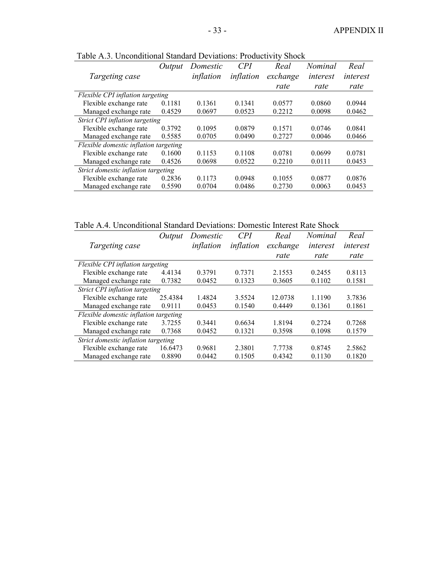|                                       | Output | Domestic  | CPI       | Real     | Nominal  | Real     |
|---------------------------------------|--------|-----------|-----------|----------|----------|----------|
| Targeting case                        |        | inflation | inflation | exchange | interest | interest |
|                                       |        |           |           | rate     | rate     | rate     |
| Flexible CPI inflation targeting      |        |           |           |          |          |          |
| Flexible exchange rate                | 0.1181 | 0.1361    | 0.1341    | 0.0577   | 0.0860   | 0.0944   |
| Managed exchange rate                 | 0.4529 | 0.0697    | 0.0523    | 0.2212   | 0.0098   | 0.0462   |
| Strict CPI inflation targeting        |        |           |           |          |          |          |
| Flexible exchange rate                | 0.3792 | 0.1095    | 0.0879    | 0.1571   | 0.0746   | 0.0841   |
| Managed exchange rate                 | 0.5585 | 0.0705    | 0.0490    | 0.2727   | 0.0046   | 0.0466   |
| Flexible domestic inflation targeting |        |           |           |          |          |          |
| Flexible exchange rate                | 0.1600 | 0.1153    | 0.1108    | 0.0781   | 0.0699   | 0.0781   |
| Managed exchange rate                 | 0.4526 | 0.0698    | 0.0522    | 0.2210   | 0.0111   | 0.0453   |
| Strict domestic inflation targeting   |        |           |           |          |          |          |
| Flexible exchange rate                | 0.2836 | 0.1173    | 0.0948    | 0.1055   | 0.0877   | 0.0876   |
| Managed exchange rate                 | 0.5590 | 0.0704    | 0.0486    | 0.2730   | 0.0063   | 0.0453   |

Table A.3. Unconditional Standard Deviations: Productivity Shock

Table A.4. Unconditional Standard Deviations: Domestic Interest Rate Shock

| Output  | Domestic                                                                                                                                           | CPI       | Real     | Nominal  | Real     |
|---------|----------------------------------------------------------------------------------------------------------------------------------------------------|-----------|----------|----------|----------|
|         | inflation                                                                                                                                          | inflation | exchange | interest | interest |
|         |                                                                                                                                                    |           | rate     | rate     | rate     |
|         |                                                                                                                                                    |           |          |          |          |
| 4.4134  | 0.3791                                                                                                                                             | 0.7371    | 2.1553   | 0.2455   | 0.8113   |
| 0.7382  | 0.0452                                                                                                                                             | 0.1323    | 0.3605   | 0.1102   | 0.1581   |
|         |                                                                                                                                                    |           |          |          |          |
| 25.4384 | 1.4824                                                                                                                                             | 3.5524    | 12.0738  | 1.1190   | 3.7836   |
| 0.9111  | 0.0453                                                                                                                                             | 0.1540    | 0.4449   | 0.1361   | 0.1861   |
|         |                                                                                                                                                    |           |          |          |          |
| 3.7255  | 0.3441                                                                                                                                             | 0.6634    | 1.8194   | 0.2724   | 0.7268   |
| 0.7368  | 0.0452                                                                                                                                             | 0.1321    | 0.3598   | 0.1098   | 0.1579   |
|         |                                                                                                                                                    |           |          |          |          |
| 16.6473 | 0.9681                                                                                                                                             | 2.3801    | 7.7738   | 0.8745   | 2.5862   |
| 0.8890  | 0.0442                                                                                                                                             | 0.1505    | 0.4342   | 0.1130   | 0.1820   |
|         | Flexible CPI inflation targeting<br>Strict CPI inflation targeting<br>Flexible domestic inflation targeting<br>Strict domestic inflation targeting |           |          |          |          |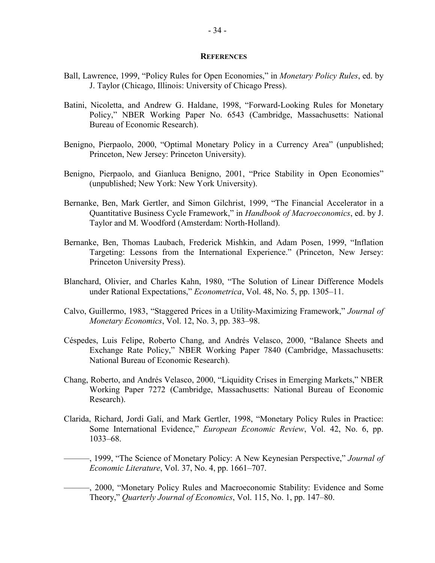#### **REFERENCES**

- Ball, Lawrence, 1999, "Policy Rules for Open Economies," in *Monetary Policy Rules*, ed. by J. Taylor (Chicago, Illinois: University of Chicago Press).
- Batini, Nicoletta, and Andrew G. Haldane, 1998, "Forward-Looking Rules for Monetary Policy," NBER Working Paper No. 6543 (Cambridge, Massachusetts: National Bureau of Economic Research).
- Benigno, Pierpaolo, 2000, "Optimal Monetary Policy in a Currency Area" (unpublished; Princeton, New Jersey: Princeton University).
- Benigno, Pierpaolo, and Gianluca Benigno, 2001, "Price Stability in Open Economies" (unpublished; New York: New York University).
- Bernanke, Ben, Mark Gertler, and Simon Gilchrist, 1999, "The Financial Accelerator in a Quantitative Business Cycle Framework," in *Handbook of Macroeconomics*, ed. by J. Taylor and M. Woodford (Amsterdam: North-Holland).
- Bernanke, Ben, Thomas Laubach, Frederick Mishkin, and Adam Posen, 1999, "Inflation Targeting: Lessons from the International Experience." (Princeton, New Jersey: Princeton University Press).
- Blanchard, Olivier, and Charles Kahn, 1980, "The Solution of Linear Difference Models under Rational Expectations," *Econometrica*, Vol. 48, No. 5, pp. 1305–11.
- Calvo, Guillermo, 1983, "Staggered Prices in a Utility-Maximizing Framework," *Journal of Monetary Economics*, Vol. 12, No. 3, pp. 383–98.
- Céspedes, Luis Felipe, Roberto Chang, and Andrés Velasco, 2000, "Balance Sheets and Exchange Rate Policy," NBER Working Paper 7840 (Cambridge, Massachusetts: National Bureau of Economic Research).
- Chang, Roberto, and Andrés Velasco, 2000, "Liquidity Crises in Emerging Markets," NBER Working Paper 7272 (Cambridge, Massachusetts: National Bureau of Economic Research).
- Clarida, Richard, Jordi Galí, and Mark Gertler, 1998, "Monetary Policy Rules in Practice: Some International Evidence," *European Economic Review*, Vol. 42, No. 6, pp. 1033–68.
- ———, 1999, "The Science of Monetary Policy: A New Keynesian Perspective," *Journal of Economic Literature*, Vol. 37, No. 4, pp. 1661–707.
- ———, 2000, "Monetary Policy Rules and Macroeconomic Stability: Evidence and Some Theory," *Quarterly Journal of Economics*, Vol. 115, No. 1, pp. 147–80.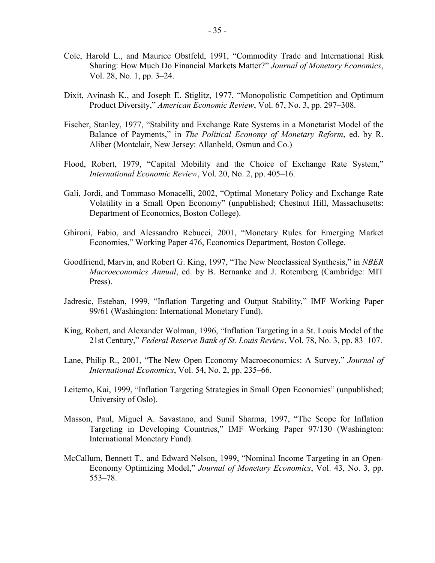- Cole, Harold L., and Maurice Obstfeld, 1991, "Commodity Trade and International Risk Sharing: How Much Do Financial Markets Matter?" *Journal of Monetary Economics*, Vol. 28, No. 1, pp. 3–24.
- Dixit, Avinash K., and Joseph E. Stiglitz, 1977, "Monopolistic Competition and Optimum Product Diversity," *American Economic Review*, Vol. 67, No. 3, pp. 297–308.
- Fischer, Stanley, 1977, "Stability and Exchange Rate Systems in a Monetarist Model of the Balance of Payments," in *The Political Economy of Monetary Reform*, ed. by R. Aliber (Montclair, New Jersey: Allanheld, Osmun and Co.)
- Flood, Robert, 1979, "Capital Mobility and the Choice of Exchange Rate System," *International Economic Review*, Vol. 20, No. 2, pp. 405–16.
- Galí, Jordi, and Tommaso Monacelli, 2002, "Optimal Monetary Policy and Exchange Rate Volatility in a Small Open Economy" (unpublished; Chestnut Hill, Massachusetts: Department of Economics, Boston College).
- Ghironi, Fabio, and Alessandro Rebucci, 2001, "Monetary Rules for Emerging Market Economies," Working Paper 476, Economics Department, Boston College.
- Goodfriend, Marvin, and Robert G. King, 1997, "The New Neoclassical Synthesis," in *NBER Macroeconomics Annual*, ed. by B. Bernanke and J. Rotemberg (Cambridge: MIT Press).
- Jadresic, Esteban, 1999, "Inflation Targeting and Output Stability," IMF Working Paper 99/61 (Washington: International Monetary Fund).
- King, Robert, and Alexander Wolman, 1996, "Inflation Targeting in a St. Louis Model of the 21st Century," *Federal Reserve Bank of St. Louis Review*, Vol. 78, No. 3, pp. 83–107.
- Lane, Philip R., 2001, "The New Open Economy Macroeconomics: A Survey," *Journal of International Economics*, Vol. 54, No. 2, pp. 235–66.
- Leitemo, Kai, 1999, "Inflation Targeting Strategies in Small Open Economies" (unpublished; University of Oslo).
- Masson, Paul, Miguel A. Savastano, and Sunil Sharma, 1997, "The Scope for Inflation Targeting in Developing Countries," IMF Working Paper 97/130 (Washington: International Monetary Fund).
- McCallum, Bennett T., and Edward Nelson, 1999, "Nominal Income Targeting in an Open-Economy Optimizing Model," *Journal of Monetary Economics*, Vol. 43, No. 3, pp. 553–78.